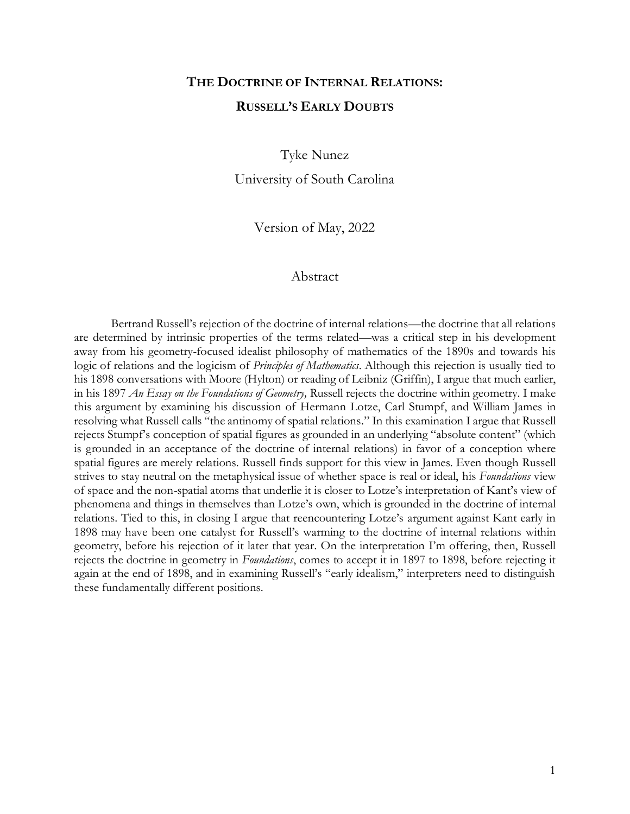# **THE DOCTRINE OF INTERNAL RELATIONS: RUSSELL'S EARLY DOUBTS**

Tyke Nunez

University of South Carolina

Version of May, 2022

#### Abstract

Bertrand Russell's rejection of the doctrine of internal relations—the doctrine that all relations are determined by intrinsic properties of the terms related—was a critical step in his development away from his geometry-focused idealist philosophy of mathematics of the 1890s and towards his logic of relations and the logicism of *Principles of Mathematics*. Although this rejection is usually tied to his 1898 conversations with Moore (Hylton) or reading of Leibniz (Griffin), I argue that much earlier, in his 1897 *An Essay on the Foundations of Geometry,* Russell rejects the doctrine within geometry. I make this argument by examining his discussion of Hermann Lotze, Carl Stumpf, and William James in resolving what Russell calls "the antinomy of spatial relations." In this examination I argue that Russell rejects Stumpf's conception of spatial figures as grounded in an underlying "absolute content" (which is grounded in an acceptance of the doctrine of internal relations) in favor of a conception where spatial figures are merely relations. Russell finds support for this view in James. Even though Russell strives to stay neutral on the metaphysical issue of whether space is real or ideal, his *Foundations* view of space and the non-spatial atoms that underlie it is closer to Lotze's interpretation of Kant's view of phenomena and things in themselves than Lotze's own, which is grounded in the doctrine of internal relations. Tied to this, in closing I argue that reencountering Lotze's argument against Kant early in 1898 may have been one catalyst for Russell's warming to the doctrine of internal relations within geometry, before his rejection of it later that year. On the interpretation I'm offering, then, Russell rejects the doctrine in geometry in *Foundations*, comes to accept it in 1897 to 1898, before rejecting it again at the end of 1898, and in examining Russell's "early idealism," interpreters need to distinguish these fundamentally different positions.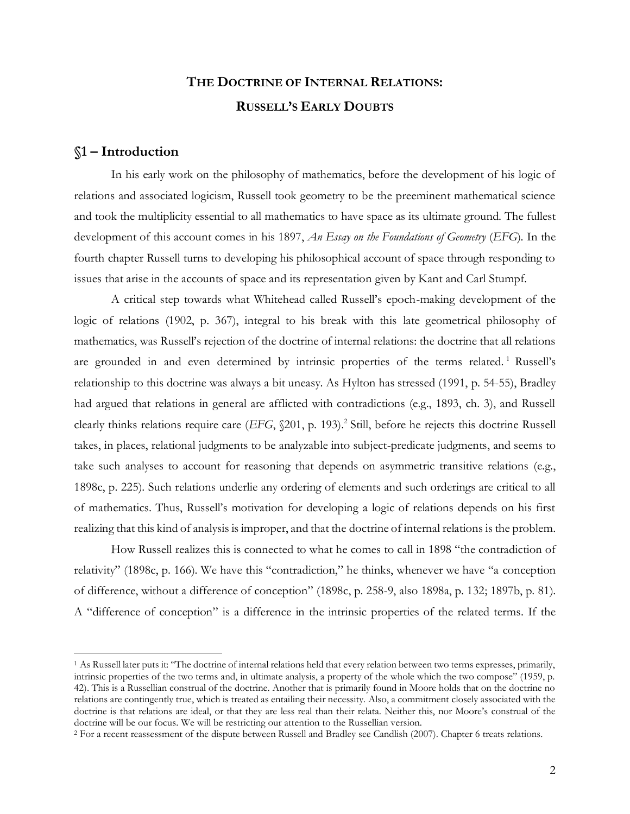## **THE DOCTRINE OF INTERNAL RELATIONS: RUSSELL'S EARLY DOUBTS**

### **§1 – Introduction**

In his early work on the philosophy of mathematics, before the development of his logic of relations and associated logicism, Russell took geometry to be the preeminent mathematical science and took the multiplicity essential to all mathematics to have space as its ultimate ground. The fullest development of this account comes in his 1897, *An Essay on the Foundations of Geometry* (*EFG*). In the fourth chapter Russell turns to developing his philosophical account of space through responding to issues that arise in the accounts of space and its representation given by Kant and Carl Stumpf.

A critical step towards what Whitehead called Russell's epoch-making development of the logic of relations (1902, p. 367), integral to his break with this late geometrical philosophy of mathematics, was Russell's rejection of the doctrine of internal relations: the doctrine that all relations are grounded in and even determined by intrinsic properties of the terms related.<sup>1</sup> Russell's relationship to this doctrine was always a bit uneasy. As Hylton has stressed (1991, p. 54-55), Bradley had argued that relations in general are afflicted with contradictions (e.g., 1893, ch. 3), and Russell clearly thinks relations require care (*EFG*, §201, p. 193).<sup>2</sup> Still, before he rejects this doctrine Russell takes, in places, relational judgments to be analyzable into subject-predicate judgments, and seems to take such analyses to account for reasoning that depends on asymmetric transitive relations (e.g., 1898c, p. 225). Such relations underlie any ordering of elements and such orderings are critical to all of mathematics. Thus, Russell's motivation for developing a logic of relations depends on his first realizing that this kind of analysis is improper, and that the doctrine of internal relations is the problem.

How Russell realizes this is connected to what he comes to call in 1898 "the contradiction of relativity" (1898c, p. 166). We have this "contradiction," he thinks, whenever we have "a conception of difference, without a difference of conception" (1898c, p. 258-9, also 1898a, p. 132; 1897b, p. 81). A "difference of conception" is a difference in the intrinsic properties of the related terms. If the

<sup>1</sup> As Russell later puts it: "The doctrine of internal relations held that every relation between two terms expresses, primarily, intrinsic properties of the two terms and, in ultimate analysis, a property of the whole which the two compose" (1959, p. 42). This is a Russellian construal of the doctrine. Another that is primarily found in Moore holds that on the doctrine no relations are contingently true, which is treated as entailing their necessity. Also, a commitment closely associated with the doctrine is that relations are ideal, or that they are less real than their relata. Neither this, nor Moore's construal of the doctrine will be our focus. We will be restricting our attention to the Russellian version.

<sup>2</sup> For a recent reassessment of the dispute between Russell and Bradley see Candlish (2007). Chapter 6 treats relations.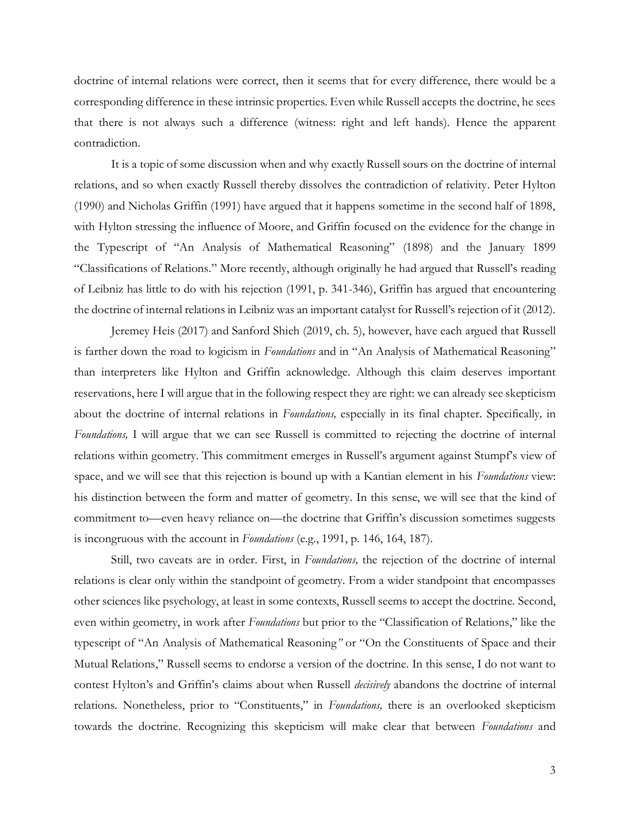doctrine of internal relations were correct, then it seems that for every difference, there would be a corresponding difference in these intrinsic properties. Even while Russell accepts the doctrine, he sees that there is not always such a difference (witness: right and left hands). Hence the apparent contradiction.

It is a topic of some discussion when and why exactly Russell sours on the doctrine of internal relations, and so when exactly Russell thereby dissolves the contradiction of relativity. Peter Hylton (1990) and Nicholas Griffin (1991) have argued that it happens sometime in the second half of 1898, with Hylton stressing the influence of Moore, and Griffin focused on the evidence for the change in the Typescript of "An Analysis of Mathematical Reasoning" (1898) and the January 1899 "Classifications of Relations." More recently, although originally he had argued that Russell's reading of Leibniz has little to do with his rejection (1991, p. 341-346), Griffin has argued that encountering the doctrine of internal relations in Leibniz was an important catalyst for Russell's rejection of it (2012).

Jeremey Heis (2017) and Sanford Shieh (2019, ch. 5), however, have each argued that Russell is farther down the road to logicism in *Foundations* and in "An Analysis of Mathematical Reasoning" than interpreters like Hylton and Griffin acknowledge. Although this claim deserves important reservations, here I will argue that in the following respect they are right: we can already see skepticism about the doctrine of internal relations in *Foundations,* especially in its final chapter. Specifically*,* in *Foundations,* I will argue that we can see Russell is committed to rejecting the doctrine of internal relations within geometry. This commitment emerges in Russell's argument against Stumpf's view of space, and we will see that this rejection is bound up with a Kantian element in his *Foundations* view: his distinction between the form and matter of geometry. In this sense, we will see that the kind of commitment to—even heavy reliance on—the doctrine that Griffin's discussion sometimes suggests is incongruous with the account in *Foundations* (e.g., 1991, p. 146, 164, 187).

Still, two caveats are in order. First, in *Foundations,* the rejection of the doctrine of internal relations is clear only within the standpoint of geometry. From a wider standpoint that encompasses other sciences like psychology, at least in some contexts, Russell seems to accept the doctrine. Second, even within geometry, in work after *Foundations* but prior to the "Classification of Relations," like the typescript of "An Analysis of Mathematical Reasoning*"* or "On the Constituents of Space and their Mutual Relations," Russell seems to endorse a version of the doctrine. In this sense, I do not want to contest Hylton's and Griffin's claims about when Russell *decisively* abandons the doctrine of internal relations. Nonetheless, prior to "Constituents," in *Foundations,* there is an overlooked skepticism towards the doctrine. Recognizing this skepticism will make clear that between *Foundations* and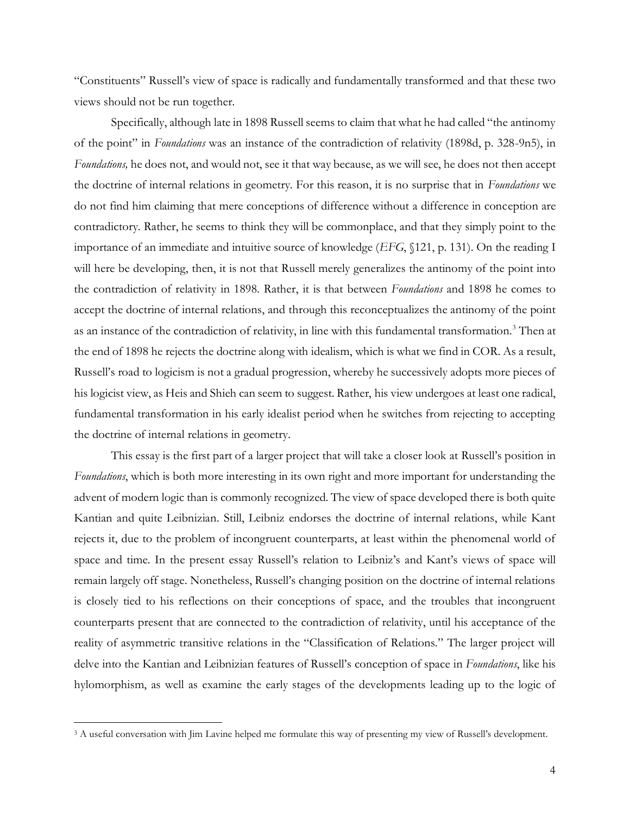"Constituents" Russell's view of space is radically and fundamentally transformed and that these two views should not be run together.

Specifically, although late in 1898 Russell seems to claim that what he had called "the antinomy of the point" in *Foundations* was an instance of the contradiction of relativity (1898d, p. 328-9n5), in *Foundations,* he does not, and would not, see it that way because, as we will see, he does not then accept the doctrine of internal relations in geometry. For this reason, it is no surprise that in *Foundations* we do not find him claiming that mere conceptions of difference without a difference in conception are contradictory. Rather, he seems to think they will be commonplace, and that they simply point to the importance of an immediate and intuitive source of knowledge (*EFG*, §121, p. 131). On the reading I will here be developing, then, it is not that Russell merely generalizes the antinomy of the point into the contradiction of relativity in 1898. Rather, it is that between *Foundations* and 1898 he comes to accept the doctrine of internal relations, and through this reconceptualizes the antinomy of the point as an instance of the contradiction of relativity, in line with this fundamental transformation.<sup>3</sup> Then at the end of 1898 he rejects the doctrine along with idealism, which is what we find in COR. As a result, Russell's road to logicism is not a gradual progression, whereby he successively adopts more pieces of his logicist view, as Heis and Shieh can seem to suggest. Rather, his view undergoes at least one radical, fundamental transformation in his early idealist period when he switches from rejecting to accepting the doctrine of internal relations in geometry.

This essay is the first part of a larger project that will take a closer look at Russell's position in *Foundations*, which is both more interesting in its own right and more important for understanding the advent of modern logic than is commonly recognized. The view of space developed there is both quite Kantian and quite Leibnizian. Still, Leibniz endorses the doctrine of internal relations, while Kant rejects it, due to the problem of incongruent counterparts, at least within the phenomenal world of space and time. In the present essay Russell's relation to Leibniz's and Kant's views of space will remain largely off stage. Nonetheless, Russell's changing position on the doctrine of internal relations is closely tied to his reflections on their conceptions of space, and the troubles that incongruent counterparts present that are connected to the contradiction of relativity, until his acceptance of the reality of asymmetric transitive relations in the "Classification of Relations." The larger project will delve into the Kantian and Leibnizian features of Russell's conception of space in *Foundations*, like his hylomorphism, as well as examine the early stages of the developments leading up to the logic of

<sup>3</sup> A useful conversation with Jim Lavine helped me formulate this way of presenting my view of Russell's development.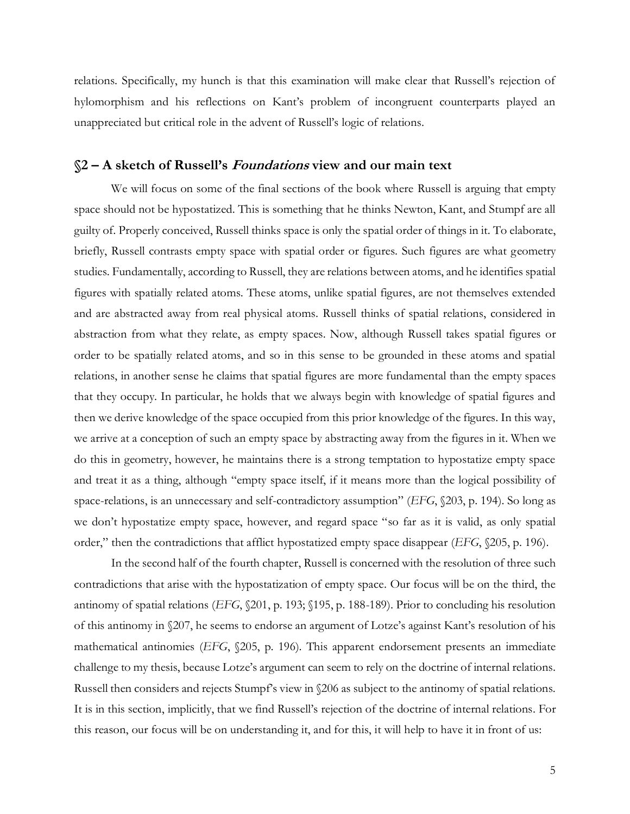relations. Specifically, my hunch is that this examination will make clear that Russell's rejection of hylomorphism and his reflections on Kant's problem of incongruent counterparts played an unappreciated but critical role in the advent of Russell's logic of relations.

## **§2 – A sketch of Russell's Foundations view and our main text**

We will focus on some of the final sections of the book where Russell is arguing that empty space should not be hypostatized. This is something that he thinks Newton, Kant, and Stumpf are all guilty of. Properly conceived, Russell thinks space is only the spatial order of things in it. To elaborate, briefly, Russell contrasts empty space with spatial order or figures. Such figures are what geometry studies. Fundamentally, according to Russell, they are relations between atoms, and he identifies spatial figures with spatially related atoms. These atoms, unlike spatial figures, are not themselves extended and are abstracted away from real physical atoms. Russell thinks of spatial relations, considered in abstraction from what they relate, as empty spaces. Now, although Russell takes spatial figures or order to be spatially related atoms, and so in this sense to be grounded in these atoms and spatial relations, in another sense he claims that spatial figures are more fundamental than the empty spaces that they occupy. In particular, he holds that we always begin with knowledge of spatial figures and then we derive knowledge of the space occupied from this prior knowledge of the figures. In this way, we arrive at a conception of such an empty space by abstracting away from the figures in it. When we do this in geometry, however, he maintains there is a strong temptation to hypostatize empty space and treat it as a thing, although "empty space itself, if it means more than the logical possibility of space-relations, is an unnecessary and self-contradictory assumption" (*EFG*, §203, p. 194). So long as we don't hypostatize empty space, however, and regard space "so far as it is valid, as only spatial order," then the contradictions that afflict hypostatized empty space disappear (*EFG*, §205, p. 196).

In the second half of the fourth chapter, Russell is concerned with the resolution of three such contradictions that arise with the hypostatization of empty space. Our focus will be on the third, the antinomy of spatial relations (*EFG*, §201, p. 193; §195, p. 188-189). Prior to concluding his resolution of this antinomy in §207, he seems to endorse an argument of Lotze's against Kant's resolution of his mathematical antinomies (*EFG*, §205, p. 196). This apparent endorsement presents an immediate challenge to my thesis, because Lotze's argument can seem to rely on the doctrine of internal relations. Russell then considers and rejects Stumpf's view in §206 as subject to the antinomy of spatial relations. It is in this section, implicitly, that we find Russell's rejection of the doctrine of internal relations. For this reason, our focus will be on understanding it, and for this, it will help to have it in front of us: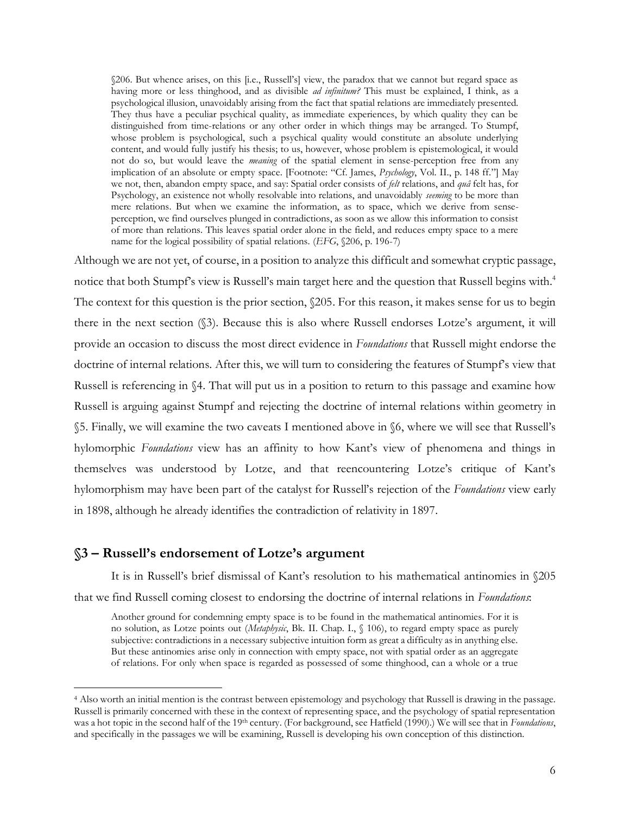§206. But whence arises, on this [i.e., Russell's] view, the paradox that we cannot but regard space as having more or less thinghood, and as divisible *ad infinitum?* This must be explained, I think, as a psychological illusion, unavoidably arising from the fact that spatial relations are immediately presented. They thus have a peculiar psychical quality, as immediate experiences, by which quality they can be distinguished from time-relations or any other order in which things may be arranged. To Stumpf, whose problem is psychological, such a psychical quality would constitute an absolute underlying content, and would fully justify his thesis; to us, however, whose problem is epistemological, it would not do so, but would leave the *meaning* of the spatial element in sense-perception free from any implication of an absolute or empty space. [Footnote: "Cf. James, *Psychology*, Vol. II., p. 148 ff."] May we not, then, abandon empty space, and say: Spatial order consists of *felt* relations, and *quâ* felt has, for Psychology, an existence not wholly resolvable into relations, and unavoidably *seeming* to be more than mere relations. But when we examine the information, as to space, which we derive from senseperception, we find ourselves plunged in contradictions, as soon as we allow this information to consist of more than relations. This leaves spatial order alone in the field, and reduces empty space to a mere name for the logical possibility of spatial relations. (*EFG*, §206, p. 196-7)

Although we are not yet, of course, in a position to analyze this difficult and somewhat cryptic passage, notice that both Stumpf's view is Russell's main target here and the question that Russell begins with.<sup>4</sup> The context for this question is the prior section,  $\&05$ . For this reason, it makes sense for us to begin there in the next section (§3). Because this is also where Russell endorses Lotze's argument, it will provide an occasion to discuss the most direct evidence in *Foundations* that Russell might endorse the doctrine of internal relations. After this, we will turn to considering the features of Stumpf's view that Russell is referencing in §4. That will put us in a position to return to this passage and examine how Russell is arguing against Stumpf and rejecting the doctrine of internal relations within geometry in §5. Finally, we will examine the two caveats I mentioned above in §6, where we will see that Russell's hylomorphic *Foundations* view has an affinity to how Kant's view of phenomena and things in themselves was understood by Lotze, and that reencountering Lotze's critique of Kant's hylomorphism may have been part of the catalyst for Russell's rejection of the *Foundations* view early in 1898, although he already identifies the contradiction of relativity in 1897.

### **§3 – Russell's endorsement of Lotze's argument**

It is in Russell's brief dismissal of Kant's resolution to his mathematical antinomies in §205 that we find Russell coming closest to endorsing the doctrine of internal relations in *Foundations*:

Another ground for condemning empty space is to be found in the mathematical antinomies. For it is no solution, as Lotze points out (*Metaphysic*, Bk. II. Chap. I., § 106), to regard empty space as purely subjective: contradictions in a necessary subjective intuition form as great a difficulty as in anything else. But these antinomies arise only in connection with empty space, not with spatial order as an aggregate of relations. For only when space is regarded as possessed of some thinghood, can a whole or a true

<sup>4</sup> Also worth an initial mention is the contrast between epistemology and psychology that Russell is drawing in the passage. Russell is primarily concerned with these in the context of representing space, and the psychology of spatial representation was a hot topic in the second half of the 19th century. (For background, see Hatfield (1990).) We will see that in *Foundations*, and specifically in the passages we will be examining, Russell is developing his own conception of this distinction.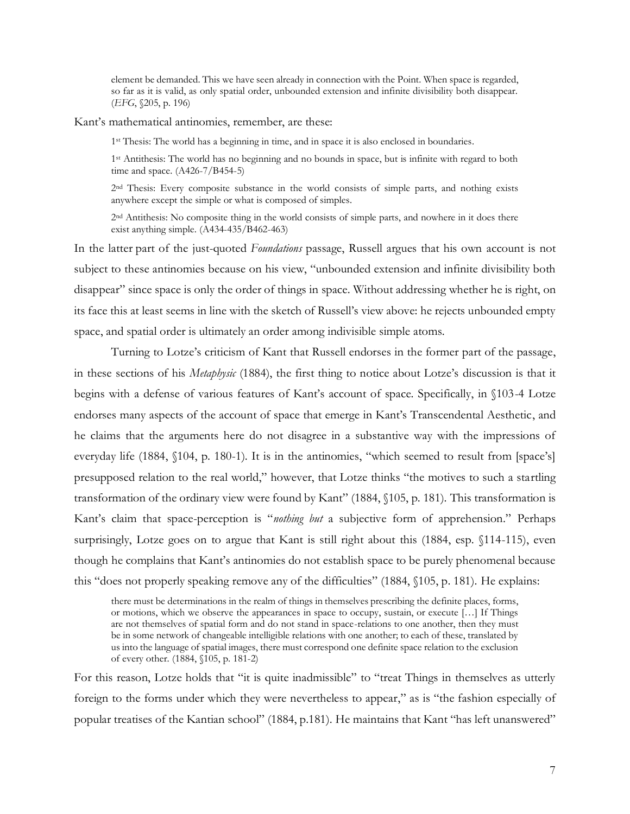element be demanded. This we have seen already in connection with the Point. When space is regarded, so far as it is valid, as only spatial order, unbounded extension and infinite divisibility both disappear. (*EFG*, §205, p. 196)

Kant's mathematical antinomies, remember, are these:

1<sup>st</sup> Thesis: The world has a beginning in time, and in space it is also enclosed in boundaries.

1 st Antithesis: The world has no beginning and no bounds in space, but is infinite with regard to both time and space. (A426-7/B454-5)

2<sup>nd</sup> Thesis: Every composite substance in the world consists of simple parts, and nothing exists anywhere except the simple or what is composed of simples.

2 nd Antithesis: No composite thing in the world consists of simple parts, and nowhere in it does there exist anything simple.  $(A434-435/B462-463)$ 

In the latter part of the just-quoted *Foundations* passage, Russell argues that his own account is not subject to these antinomies because on his view, "unbounded extension and infinite divisibility both disappear" since space is only the order of things in space. Without addressing whether he is right, on its face this at least seems in line with the sketch of Russell's view above: he rejects unbounded empty space, and spatial order is ultimately an order among indivisible simple atoms.

Turning to Lotze's criticism of Kant that Russell endorses in the former part of the passage, in these sections of his *Metaphysic* (1884), the first thing to notice about Lotze's discussion is that it begins with a defense of various features of Kant's account of space. Specifically, in §103-4 Lotze endorses many aspects of the account of space that emerge in Kant's Transcendental Aesthetic, and he claims that the arguments here do not disagree in a substantive way with the impressions of everyday life (1884, §104, p. 180-1). It is in the antinomies, "which seemed to result from [space's] presupposed relation to the real world," however, that Lotze thinks "the motives to such a startling transformation of the ordinary view were found by Kant" (1884, §105, p. 181). This transformation is Kant's claim that space-perception is "*nothing but* a subjective form of apprehension." Perhaps surprisingly, Lotze goes on to argue that Kant is still right about this (1884, esp. §114-115), even though he complains that Kant's antinomies do not establish space to be purely phenomenal because this "does not properly speaking remove any of the difficulties" (1884, §105, p. 181). He explains:

there must be determinations in the realm of things in themselves prescribing the definite places, forms, or motions, which we observe the appearances in space to occupy, sustain, or execute […] If Things are not themselves of spatial form and do not stand in space-relations to one another, then they must be in some network of changeable intelligible relations with one another; to each of these, translated by us into the language of spatial images, there must correspond one definite space relation to the exclusion of every other. (1884, §105, p. 181-2)

For this reason, Lotze holds that "it is quite inadmissible" to "treat Things in themselves as utterly foreign to the forms under which they were nevertheless to appear," as is "the fashion especially of popular treatises of the Kantian school" (1884, p.181). He maintains that Kant "has left unanswered"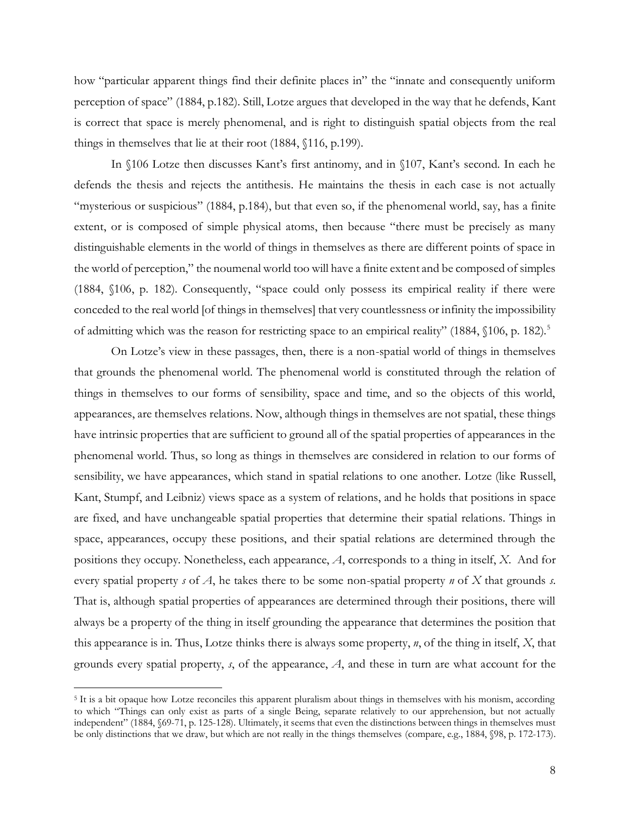how "particular apparent things find their definite places in" the "innate and consequently uniform perception of space" (1884, p.182). Still, Lotze argues that developed in the way that he defends, Kant is correct that space is merely phenomenal, and is right to distinguish spatial objects from the real things in themselves that lie at their root (1884, §116, p.199).

In §106 Lotze then discusses Kant's first antinomy, and in §107, Kant's second. In each he defends the thesis and rejects the antithesis. He maintains the thesis in each case is not actually "mysterious or suspicious" (1884, p.184), but that even so, if the phenomenal world, say, has a finite extent, or is composed of simple physical atoms, then because "there must be precisely as many distinguishable elements in the world of things in themselves as there are different points of space in the world of perception," the noumenal world too will have a finite extent and be composed of simples (1884, §106, p. 182). Consequently, "space could only possess its empirical reality if there were conceded to the real world [of things in themselves] that very countlessness or infinity the impossibility of admitting which was the reason for restricting space to an empirical reality" (1884, §106, p. 182).<sup>5</sup>

On Lotze's view in these passages, then, there is a non-spatial world of things in themselves that grounds the phenomenal world. The phenomenal world is constituted through the relation of things in themselves to our forms of sensibility, space and time, and so the objects of this world, appearances, are themselves relations. Now, although things in themselves are not spatial, these things have intrinsic properties that are sufficient to ground all of the spatial properties of appearances in the phenomenal world. Thus, so long as things in themselves are considered in relation to our forms of sensibility, we have appearances, which stand in spatial relations to one another. Lotze (like Russell, Kant, Stumpf, and Leibniz) views space as a system of relations, and he holds that positions in space are fixed, and have unchangeable spatial properties that determine their spatial relations. Things in space, appearances, occupy these positions, and their spatial relations are determined through the positions they occupy. Nonetheless, each appearance, *A*, corresponds to a thing in itself, *X*. And for every spatial property *s* of *A*, he takes there to be some non-spatial property *n* of *X* that grounds *s*. That is, although spatial properties of appearances are determined through their positions, there will always be a property of the thing in itself grounding the appearance that determines the position that this appearance is in. Thus, Lotze thinks there is always some property, *n*, of the thing in itself, *X*, that grounds every spatial property, *s*, of the appearance, *A*, and these in turn are what account for the

<sup>5</sup> It is a bit opaque how Lotze reconciles this apparent pluralism about things in themselves with his monism, according to which "Things can only exist as parts of a single Being, separate relatively to our apprehension, but not actually independent" (1884, §69-71, p. 125-128). Ultimately, it seems that even the distinctions between things in themselves must be only distinctions that we draw, but which are not really in the things themselves (compare, e.g., 1884, §98, p. 172-173).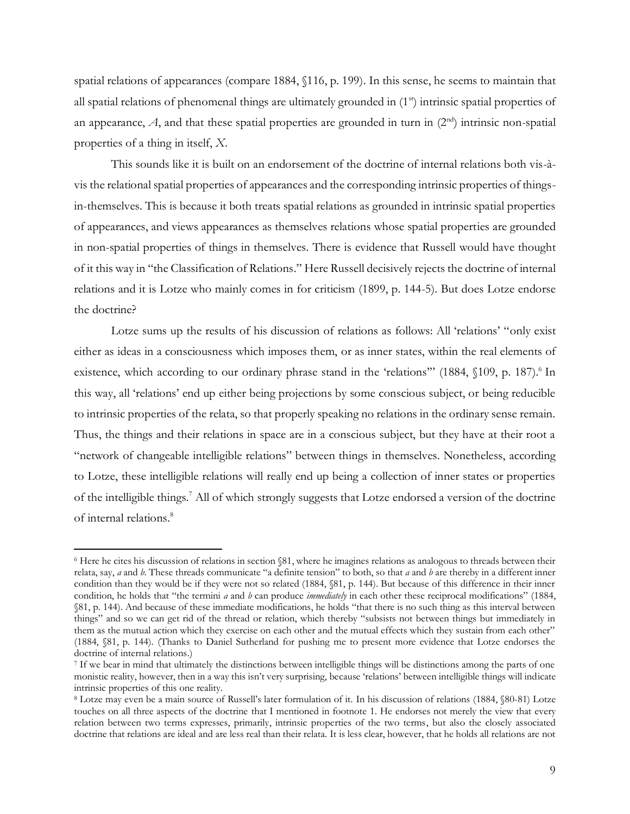spatial relations of appearances (compare 1884, §116, p. 199). In this sense, he seems to maintain that all spatial relations of phenomenal things are ultimately grounded in (1<sup>st</sup>) intrinsic spatial properties of an appearance,  $A$ , and that these spatial properties are grounded in turn in  $(2<sup>nd</sup>)$  intrinsic non-spatial properties of a thing in itself, *X*.

This sounds like it is built on an endorsement of the doctrine of internal relations both vis-àvis the relational spatial properties of appearances and the corresponding intrinsic properties of thingsin-themselves. This is because it both treats spatial relations as grounded in intrinsic spatial properties of appearances, and views appearances as themselves relations whose spatial properties are grounded in non-spatial properties of things in themselves. There is evidence that Russell would have thought of it this way in "the Classification of Relations." Here Russell decisively rejects the doctrine of internal relations and it is Lotze who mainly comes in for criticism (1899, p. 144-5). But does Lotze endorse the doctrine?

Lotze sums up the results of his discussion of relations as follows: All 'relations' "only exist either as ideas in a consciousness which imposes them, or as inner states, within the real elements of existence, which according to our ordinary phrase stand in the 'relations" (1884, §109, p. 187).<sup>6</sup> In this way, all 'relations' end up either being projections by some conscious subject, or being reducible to intrinsic properties of the relata, so that properly speaking no relations in the ordinary sense remain. Thus, the things and their relations in space are in a conscious subject, but they have at their root a "network of changeable intelligible relations" between things in themselves. Nonetheless, according to Lotze, these intelligible relations will really end up being a collection of inner states or properties of the intelligible things.<sup>7</sup> All of which strongly suggests that Lotze endorsed a version of the doctrine of internal relations.<sup>8</sup>

<sup>6</sup> Here he cites his discussion of relations in section §81, where he imagines relations as analogous to threads between their relata, say, *a* and *b*. These threads communicate "a definite tension" to both, so that *a* and *b* are thereby in a different inner condition than they would be if they were not so related (1884, §81, p. 144). But because of this difference in their inner condition, he holds that "the termini *a* and *b* can produce *immediately* in each other these reciprocal modifications" (1884, §81, p. 144). And because of these immediate modifications, he holds "that there is no such thing as this interval between things" and so we can get rid of the thread or relation, which thereby "subsists not between things but immediately in them as the mutual action which they exercise on each other and the mutual effects which they sustain from each other" (1884, §81, p. 144). (Thanks to Daniel Sutherland for pushing me to present more evidence that Lotze endorses the doctrine of internal relations.)

<sup>7</sup> If we bear in mind that ultimately the distinctions between intelligible things will be distinctions among the parts of one monistic reality, however, then in a way this isn't very surprising, because 'relations' between intelligible things will indicate intrinsic properties of this one reality.

<sup>8</sup> Lotze may even be a main source of Russell's later formulation of it. In his discussion of relations (1884, §80-81) Lotze touches on all three aspects of the doctrine that I mentioned in footnote 1. He endorses not merely the view that every relation between two terms expresses, primarily, intrinsic properties of the two terms, but also the closely associated doctrine that relations are ideal and are less real than their relata. It is less clear, however, that he holds all relations are not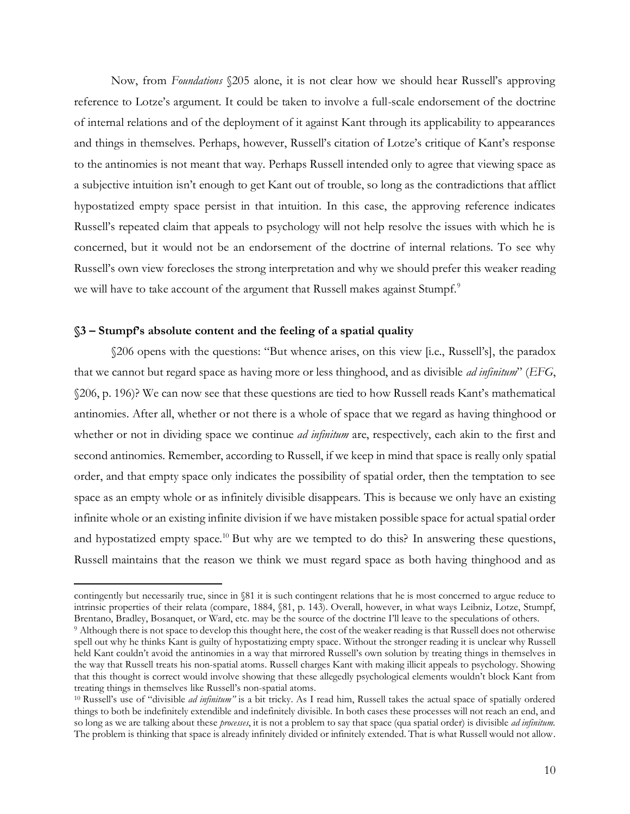Now, from *Foundations* §205 alone, it is not clear how we should hear Russell's approving reference to Lotze's argument. It could be taken to involve a full-scale endorsement of the doctrine of internal relations and of the deployment of it against Kant through its applicability to appearances and things in themselves. Perhaps, however, Russell's citation of Lotze's critique of Kant's response to the antinomies is not meant that way. Perhaps Russell intended only to agree that viewing space as a subjective intuition isn't enough to get Kant out of trouble, so long as the contradictions that afflict hypostatized empty space persist in that intuition. In this case, the approving reference indicates Russell's repeated claim that appeals to psychology will not help resolve the issues with which he is concerned, but it would not be an endorsement of the doctrine of internal relations. To see why Russell's own view forecloses the strong interpretation and why we should prefer this weaker reading we will have to take account of the argument that Russell makes against Stumpf.<sup>9</sup>

#### **§3 – Stumpf's absolute content and the feeling of a spatial quality**

§206 opens with the questions: "But whence arises, on this view [i.e., Russell's], the paradox that we cannot but regard space as having more or less thinghood, and as divisible *ad infinitum*" (*EFG*, §206, p. 196)? We can now see that these questions are tied to how Russell reads Kant's mathematical antinomies. After all, whether or not there is a whole of space that we regard as having thinghood or whether or not in dividing space we continue *ad infinitum* are, respectively, each akin to the first and second antinomies. Remember, according to Russell, if we keep in mind that space is really only spatial order, and that empty space only indicates the possibility of spatial order, then the temptation to see space as an empty whole or as infinitely divisible disappears. This is because we only have an existing infinite whole or an existing infinite division if we have mistaken possible space for actual spatial order and hypostatized empty space.<sup>10</sup> But why are we tempted to do this? In answering these questions, Russell maintains that the reason we think we must regard space as both having thinghood and as

contingently but necessarily true, since in §81 it is such contingent relations that he is most concerned to argue reduce to intrinsic properties of their relata (compare, 1884, §81, p. 143). Overall, however, in what ways Leibniz, Lotze, Stumpf, Brentano, Bradley, Bosanquet, or Ward, etc. may be the source of the doctrine I'll leave to the speculations of others.

<sup>9</sup> Although there is not space to develop this thought here, the cost of the weaker reading is that Russell does not otherwise spell out why he thinks Kant is guilty of hypostatizing empty space. Without the stronger reading it is unclear why Russell held Kant couldn't avoid the antinomies in a way that mirrored Russell's own solution by treating things in themselves in the way that Russell treats his non-spatial atoms. Russell charges Kant with making illicit appeals to psychology. Showing that this thought is correct would involve showing that these allegedly psychological elements wouldn't block Kant from treating things in themselves like Russell's non-spatial atoms.

<sup>10</sup> Russell's use of "divisible *ad infinitum"* is a bit tricky. As I read him, Russell takes the actual space of spatially ordered things to both be indefinitely extendible and indefinitely divisible. In both cases these processes will not reach an end, and so long as we are talking about these *processes*, it is not a problem to say that space (qua spatial order) is divisible *ad infinitum.* The problem is thinking that space is already infinitely divided or infinitely extended. That is what Russell would not allow.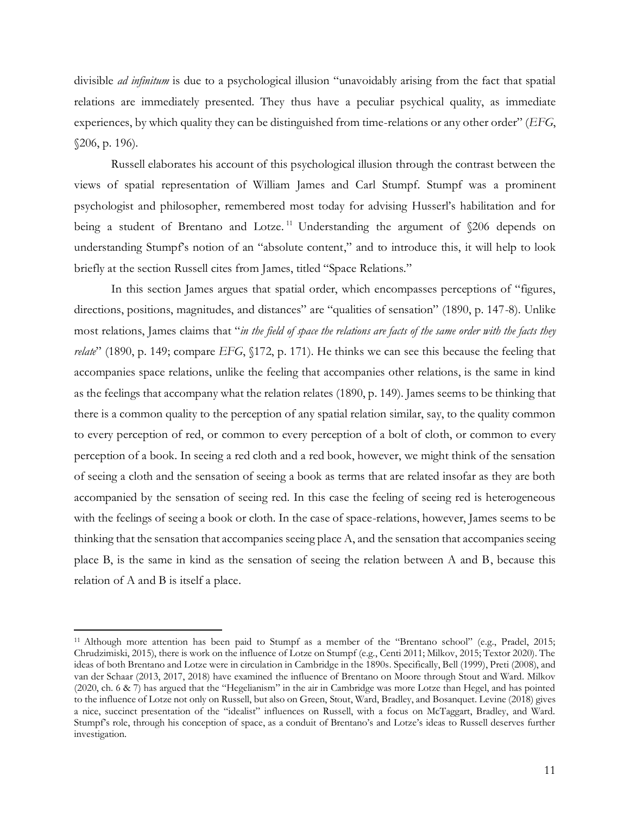divisible *ad infinitum* is due to a psychological illusion "unavoidably arising from the fact that spatial relations are immediately presented. They thus have a peculiar psychical quality, as immediate experiences, by which quality they can be distinguished from time-relations or any other order" (*EFG*, §206, p. 196).

Russell elaborates his account of this psychological illusion through the contrast between the views of spatial representation of William James and Carl Stumpf. Stumpf was a prominent psychologist and philosopher, remembered most today for advising Husserl's habilitation and for being a student of Brentano and Lotze.<sup>11</sup> Understanding the argument of §206 depends on understanding Stumpf's notion of an "absolute content," and to introduce this, it will help to look briefly at the section Russell cites from James, titled "Space Relations."

In this section James argues that spatial order, which encompasses perceptions of "figures, directions, positions, magnitudes, and distances" are "qualities of sensation" (1890, p. 147-8). Unlike most relations, James claims that "*in the field of space the relations are facts of the same order with the facts they relate*" (1890, p. 149; compare *EFG*, §172, p. 171). He thinks we can see this because the feeling that accompanies space relations, unlike the feeling that accompanies other relations, is the same in kind as the feelings that accompany what the relation relates (1890, p. 149). James seems to be thinking that there is a common quality to the perception of any spatial relation similar, say, to the quality common to every perception of red, or common to every perception of a bolt of cloth, or common to every perception of a book. In seeing a red cloth and a red book, however, we might think of the sensation of seeing a cloth and the sensation of seeing a book as terms that are related insofar as they are both accompanied by the sensation of seeing red. In this case the feeling of seeing red is heterogeneous with the feelings of seeing a book or cloth. In the case of space-relations, however, James seems to be thinking that the sensation that accompanies seeing place A, and the sensation that accompanies seeing place B, is the same in kind as the sensation of seeing the relation between A and B, because this relation of A and B is itself a place.

<sup>11</sup> Although more attention has been paid to Stumpf as a member of the "Brentano school" (e.g., Pradel, 2015; Chrudzimiski, 2015), there is work on the influence of Lotze on Stumpf (e.g., Centi 2011; Milkov, 2015; Textor 2020). The ideas of both Brentano and Lotze were in circulation in Cambridge in the 1890s. Specifically, Bell (1999), Preti (2008), and van der Schaar (2013, 2017, 2018) have examined the influence of Brentano on Moore through Stout and Ward. Milkov (2020, ch. 6 & 7) has argued that the "Hegelianism" in the air in Cambridge was more Lotze than Hegel, and has pointed to the influence of Lotze not only on Russell, but also on Green, Stout, Ward, Bradley, and Bosanquet. Levine (2018) gives a nice, succinct presentation of the "idealist" influences on Russell, with a focus on McTaggart, Bradley, and Ward. Stumpf's role, through his conception of space, as a conduit of Brentano's and Lotze's ideas to Russell deserves further investigation.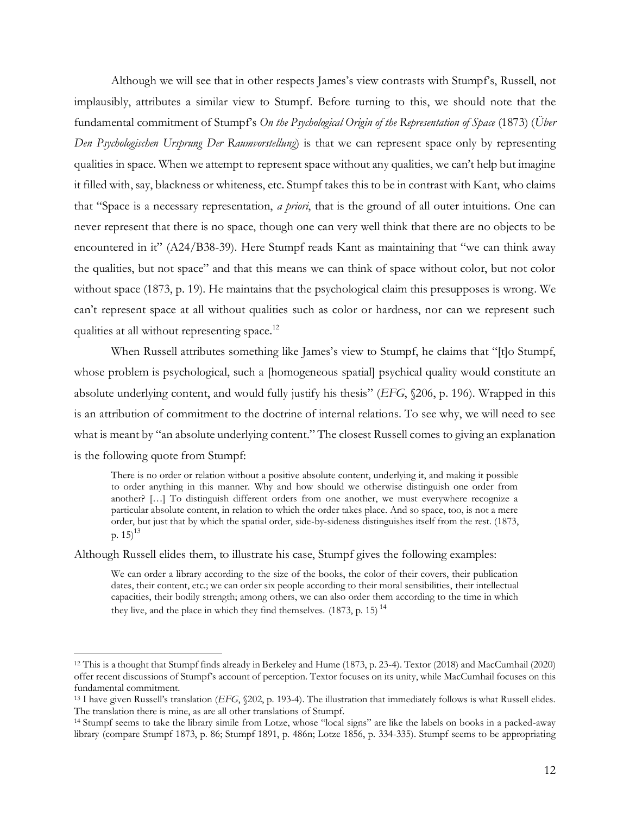Although we will see that in other respects James's view contrasts with Stumpf's, Russell, not implausibly, attributes a similar view to Stumpf. Before turning to this, we should note that the fundamental commitment of Stumpf's *On the Psychological Origin of the Representation of Space* (1873) (*Über Den Psychologischen Ursprung Der Raumvorstellung*) is that we can represent space only by representing qualities in space. When we attempt to represent space without any qualities, we can't help but imagine it filled with, say, blackness or whiteness, etc. Stumpf takes this to be in contrast with Kant, who claims that "Space is a necessary representation, *a priori*, that is the ground of all outer intuitions. One can never represent that there is no space, though one can very well think that there are no objects to be encountered in it" (A24/B38-39). Here Stumpf reads Kant as maintaining that "we can think away the qualities, but not space" and that this means we can think of space without color, but not color without space (1873, p. 19). He maintains that the psychological claim this presupposes is wrong. We can't represent space at all without qualities such as color or hardness, nor can we represent such qualities at all without representing space.<sup>12</sup>

When Russell attributes something like James's view to Stumpf, he claims that "[t]o Stumpf, whose problem is psychological, such a [homogeneous spatial] psychical quality would constitute an absolute underlying content, and would fully justify his thesis" (*EFG*, §206, p. 196). Wrapped in this is an attribution of commitment to the doctrine of internal relations. To see why, we will need to see what is meant by "an absolute underlying content." The closest Russell comes to giving an explanation is the following quote from Stumpf:

There is no order or relation without a positive absolute content, underlying it, and making it possible to order anything in this manner. Why and how should we otherwise distinguish one order from another? […] To distinguish different orders from one another, we must everywhere recognize a particular absolute content, in relation to which the order takes place. And so space, too, is not a mere order, but just that by which the spatial order, side-by-sideness distinguishes itself from the rest. (1873, p.  $15)^{13}$ 

Although Russell elides them, to illustrate his case, Stumpf gives the following examples:

We can order a library according to the size of the books, the color of their covers, their publication dates, their content, etc.; we can order six people according to their moral sensibilities, their intellectual capacities, their bodily strength; among others, we can also order them according to the time in which they live, and the place in which they find themselves.  $(1873, p. 15)$ <sup>14</sup>

<sup>12</sup> This is a thought that Stumpf finds already in Berkeley and Hume (1873, p. 23-4). Textor (2018) and MacCumhail (2020) offer recent discussions of Stumpf's account of perception. Textor focuses on its unity, while MacCumhail focuses on this fundamental commitment.

<sup>13</sup> I have given Russell's translation (*EFG*, §202, p. 193-4). The illustration that immediately follows is what Russell elides. The translation there is mine, as are all other translations of Stumpf.

<sup>14</sup> Stumpf seems to take the library simile from Lotze, whose "local signs" are like the labels on books in a packed-away library (compare Stumpf 1873, p. 86; Stumpf 1891, p. 486n; Lotze 1856, p. 334-335). Stumpf seems to be appropriating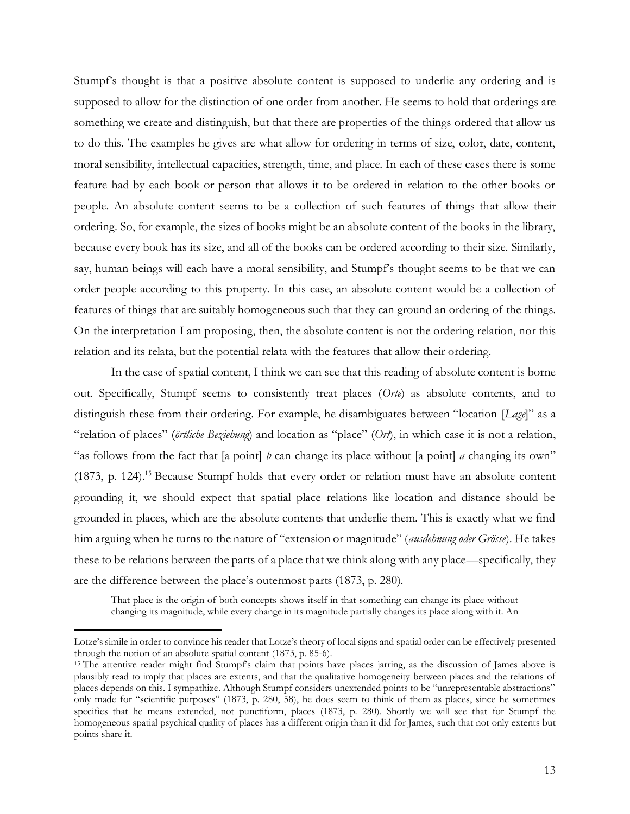Stumpf's thought is that a positive absolute content is supposed to underlie any ordering and is supposed to allow for the distinction of one order from another. He seems to hold that orderings are something we create and distinguish, but that there are properties of the things ordered that allow us to do this. The examples he gives are what allow for ordering in terms of size, color, date, content, moral sensibility, intellectual capacities, strength, time, and place. In each of these cases there is some feature had by each book or person that allows it to be ordered in relation to the other books or people. An absolute content seems to be a collection of such features of things that allow their ordering. So, for example, the sizes of books might be an absolute content of the books in the library, because every book has its size, and all of the books can be ordered according to their size. Similarly, say, human beings will each have a moral sensibility, and Stumpf's thought seems to be that we can order people according to this property. In this case, an absolute content would be a collection of features of things that are suitably homogeneous such that they can ground an ordering of the things. On the interpretation I am proposing, then, the absolute content is not the ordering relation, nor this relation and its relata, but the potential relata with the features that allow their ordering.

In the case of spatial content, I think we can see that this reading of absolute content is borne out. Specifically, Stumpf seems to consistently treat places (*Orte*) as absolute contents, and to distinguish these from their ordering. For example, he disambiguates between "location [*Lage*]" as a "relation of places" (*örtliche Beziehung*) and location as "place" (*Ort*), in which case it is not a relation, "as follows from the fact that [a point] *b* can change its place without [a point] *a* changing its own" (1873, p. 124). <sup>15</sup> Because Stumpf holds that every order or relation must have an absolute content grounding it, we should expect that spatial place relations like location and distance should be grounded in places, which are the absolute contents that underlie them. This is exactly what we find him arguing when he turns to the nature of "extension or magnitude" (*ausdehnung oder Grösse*). He takes these to be relations between the parts of a place that we think along with any place—specifically, they are the difference between the place's outermost parts (1873, p. 280).

That place is the origin of both concepts shows itself in that something can change its place without changing its magnitude, while every change in its magnitude partially changes its place along with it. An

Lotze's simile in order to convince his reader that Lotze's theory of local signs and spatial order can be effectively presented through the notion of an absolute spatial content (1873, p. 85-6).

<sup>&</sup>lt;sup>15</sup> The attentive reader might find Stumpf's claim that points have places jarring, as the discussion of James above is plausibly read to imply that places are extents, and that the qualitative homogeneity between places and the relations of places depends on this. I sympathize. Although Stumpf considers unextended points to be "unrepresentable abstractions" only made for "scientific purposes" (1873, p. 280, 58), he does seem to think of them as places, since he sometimes specifies that he means extended, not punctiform, places (1873, p. 280). Shortly we will see that for Stumpf the homogeneous spatial psychical quality of places has a different origin than it did for James, such that not only extents but points share it.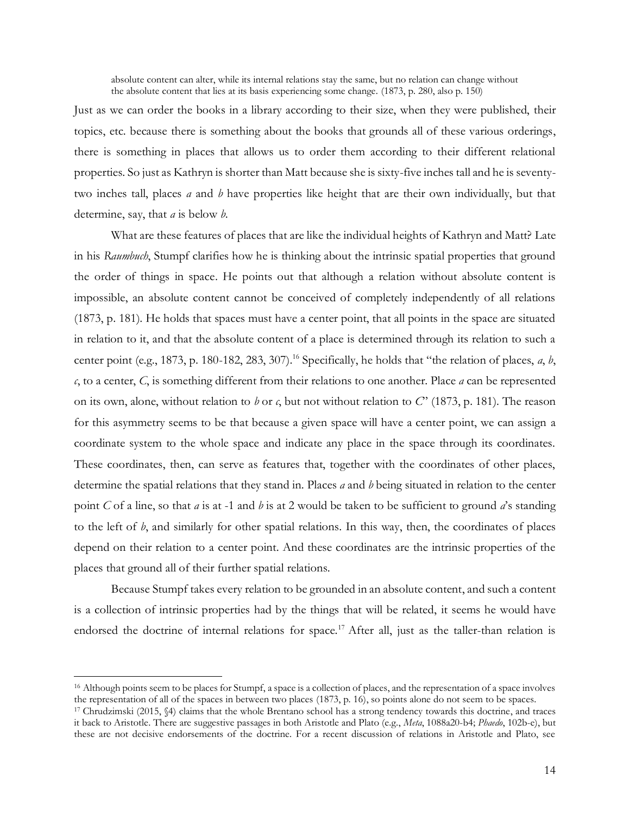absolute content can alter, while its internal relations stay the same, but no relation can change without the absolute content that lies at its basis experiencing some change. (1873, p. 280, also p. 150)

Just as we can order the books in a library according to their size, when they were published, their topics, etc. because there is something about the books that grounds all of these various orderings, there is something in places that allows us to order them according to their different relational properties. So just as Kathryn is shorter than Matt because she is sixty-five inches tall and he is seventytwo inches tall, places *a* and *b* have properties like height that are their own individually, but that determine, say, that *a* is below *b*.

What are these features of places that are like the individual heights of Kathryn and Matt? Late in his *Raumbuch*, Stumpf clarifies how he is thinking about the intrinsic spatial properties that ground the order of things in space. He points out that although a relation without absolute content is impossible, an absolute content cannot be conceived of completely independently of all relations (1873, p. 181). He holds that spaces must have a center point, that all points in the space are situated in relation to it, and that the absolute content of a place is determined through its relation to such a center point (e.g., 1873, p. 180-182, 283, 307).<sup>16</sup> Specifically, he holds that "the relation of places, *a*, *b*, *c*, to a center, *C*, is something different from their relations to one another. Place *a* can be represented on its own, alone, without relation to *b* or *c*, but not without relation to *C*" (1873, p. 181). The reason for this asymmetry seems to be that because a given space will have a center point, we can assign a coordinate system to the whole space and indicate any place in the space through its coordinates. These coordinates, then, can serve as features that, together with the coordinates of other places, determine the spatial relations that they stand in. Places *a* and *b* being situated in relation to the center point *C* of a line, so that *a* is at -1 and *b* is at 2 would be taken to be sufficient to ground *a*'s standing to the left of *b*, and similarly for other spatial relations. In this way, then, the coordinates of places depend on their relation to a center point. And these coordinates are the intrinsic properties of the places that ground all of their further spatial relations.

Because Stumpf takes every relation to be grounded in an absolute content, and such a content is a collection of intrinsic properties had by the things that will be related, it seems he would have endorsed the doctrine of internal relations for space.<sup>17</sup> After all, just as the taller-than relation is

<sup>16</sup> Although points seem to be places for Stumpf, a space is a collection of places, and the representation of a space involves the representation of all of the spaces in between two places (1873, p. 16), so points alone do not seem to be spaces.

<sup>17</sup> Chrudzimski (2015, §4) claims that the whole Brentano school has a strong tendency towards this doctrine, and traces it back to Aristotle. There are suggestive passages in both Aristotle and Plato (e.g., *Meta*, 1088a20-b4; *Phaedo*, 102b-e), but these are not decisive endorsements of the doctrine. For a recent discussion of relations in Aristotle and Plato, see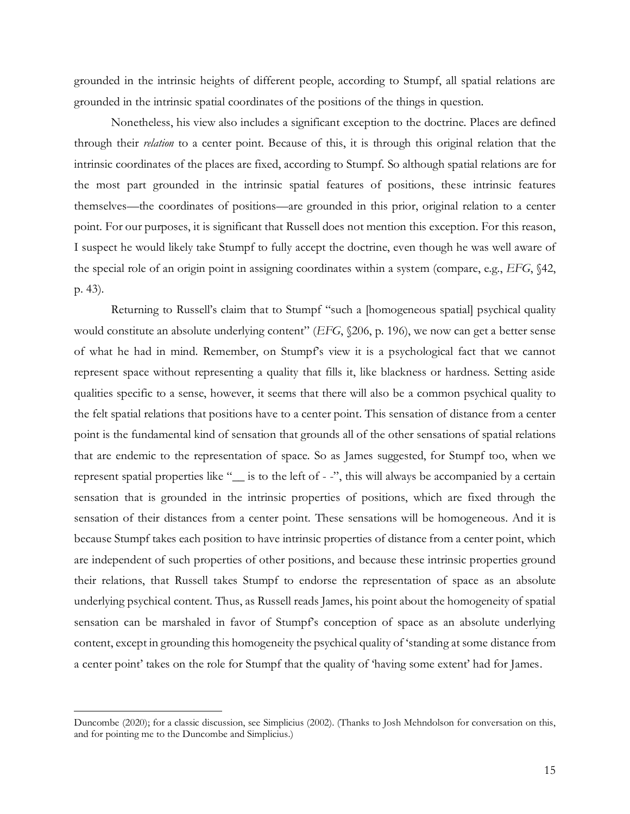grounded in the intrinsic heights of different people, according to Stumpf, all spatial relations are grounded in the intrinsic spatial coordinates of the positions of the things in question.

Nonetheless, his view also includes a significant exception to the doctrine. Places are defined through their *relation* to a center point. Because of this, it is through this original relation that the intrinsic coordinates of the places are fixed, according to Stumpf. So although spatial relations are for the most part grounded in the intrinsic spatial features of positions, these intrinsic features themselves—the coordinates of positions—are grounded in this prior, original relation to a center point. For our purposes, it is significant that Russell does not mention this exception. For this reason, I suspect he would likely take Stumpf to fully accept the doctrine, even though he was well aware of the special role of an origin point in assigning coordinates within a system (compare, e.g., *EFG*, §42, p. 43).

Returning to Russell's claim that to Stumpf "such a [homogeneous spatial] psychical quality would constitute an absolute underlying content" (*EFG*, §206, p. 196), we now can get a better sense of what he had in mind. Remember, on Stumpf's view it is a psychological fact that we cannot represent space without representing a quality that fills it, like blackness or hardness. Setting aside qualities specific to a sense, however, it seems that there will also be a common psychical quality to the felt spatial relations that positions have to a center point. This sensation of distance from a center point is the fundamental kind of sensation that grounds all of the other sensations of spatial relations that are endemic to the representation of space. So as James suggested, for Stumpf too, when we represent spatial properties like "\_\_ is to the left of - -", this will always be accompanied by a certain sensation that is grounded in the intrinsic properties of positions, which are fixed through the sensation of their distances from a center point. These sensations will be homogeneous. And it is because Stumpf takes each position to have intrinsic properties of distance from a center point, which are independent of such properties of other positions, and because these intrinsic properties ground their relations, that Russell takes Stumpf to endorse the representation of space as an absolute underlying psychical content. Thus, as Russell reads James, his point about the homogeneity of spatial sensation can be marshaled in favor of Stumpf's conception of space as an absolute underlying content, except in grounding this homogeneity the psychical quality of 'standing at some distance from a center point' takes on the role for Stumpf that the quality of 'having some extent' had for James.

Duncombe (2020); for a classic discussion, see Simplicius (2002). (Thanks to Josh Mehndolson for conversation on this, and for pointing me to the Duncombe and Simplicius.)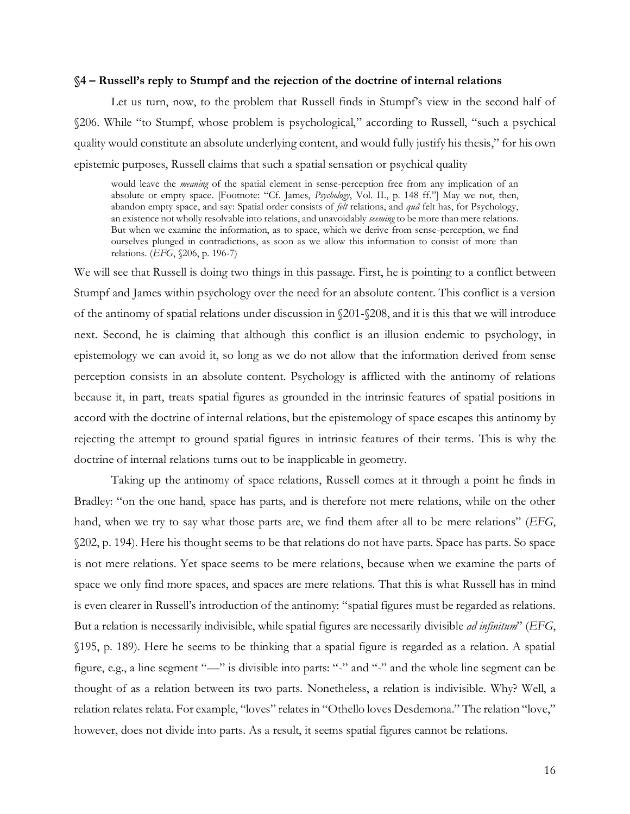#### **§4 – Russell's reply to Stumpf and the rejection of the doctrine of internal relations**

Let us turn, now, to the problem that Russell finds in Stumpf's view in the second half of §206. While "to Stumpf, whose problem is psychological," according to Russell, "such a psychical quality would constitute an absolute underlying content, and would fully justify his thesis," for his own epistemic purposes, Russell claims that such a spatial sensation or psychical quality

would leave the *meaning* of the spatial element in sense-perception free from any implication of an absolute or empty space. [Footnote: "Cf. James, *Psychology*, Vol. II., p. 148 ff."] May we not, then, abandon empty space, and say: Spatial order consists of *felt* relations, and *quâ* felt has, for Psychology, an existence not wholly resolvable into relations, and unavoidably *seeming* to be more than mere relations. But when we examine the information, as to space, which we derive from sense-perception, we find ourselves plunged in contradictions, as soon as we allow this information to consist of more than relations. (*EFG*, §206, p. 196-7)

We will see that Russell is doing two things in this passage. First, he is pointing to a conflict between Stumpf and James within psychology over the need for an absolute content. This conflict is a version of the antinomy of spatial relations under discussion in  $\$201-\$208$ , and it is this that we will introduce next. Second, he is claiming that although this conflict is an illusion endemic to psychology, in epistemology we can avoid it, so long as we do not allow that the information derived from sense perception consists in an absolute content. Psychology is afflicted with the antinomy of relations because it, in part, treats spatial figures as grounded in the intrinsic features of spatial positions in accord with the doctrine of internal relations, but the epistemology of space escapes this antinomy by rejecting the attempt to ground spatial figures in intrinsic features of their terms. This is why the doctrine of internal relations turns out to be inapplicable in geometry.

Taking up the antinomy of space relations, Russell comes at it through a point he finds in Bradley: "on the one hand, space has parts, and is therefore not mere relations, while on the other hand, when we try to say what those parts are, we find them after all to be mere relations" (*EFG*, §202, p. 194). Here his thought seems to be that relations do not have parts. Space has parts. So space is not mere relations. Yet space seems to be mere relations, because when we examine the parts of space we only find more spaces, and spaces are mere relations. That this is what Russell has in mind is even clearer in Russell's introduction of the antinomy: "spatial figures must be regarded as relations. But a relation is necessarily indivisible, while spatial figures are necessarily divisible *ad infinitum*" (*EFG*, §195, p. 189). Here he seems to be thinking that a spatial figure is regarded as a relation. A spatial figure, e.g., a line segment "—" is divisible into parts: "-" and "-" and the whole line segment can be thought of as a relation between its two parts. Nonetheless, a relation is indivisible. Why? Well, a relation relates relata. For example, "loves" relates in "Othello loves Desdemona." The relation "love," however, does not divide into parts. As a result, it seems spatial figures cannot be relations.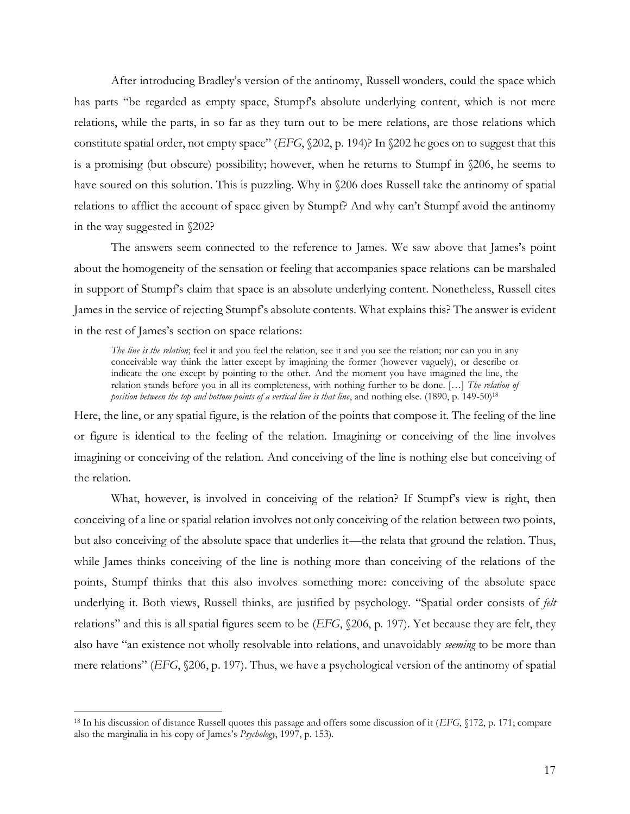After introducing Bradley's version of the antinomy, Russell wonders, could the space which has parts "be regarded as empty space, Stumpf's absolute underlying content, which is not mere relations, while the parts, in so far as they turn out to be mere relations, are those relations which constitute spatial order, not empty space" (*EFG*, §202, p. 194)? In §202 he goes on to suggest that this is a promising (but obscure) possibility; however, when he returns to Stumpf in §206, he seems to have soured on this solution. This is puzzling. Why in §206 does Russell take the antinomy of spatial relations to afflict the account of space given by Stumpf? And why can't Stumpf avoid the antinomy in the way suggested in §202?

The answers seem connected to the reference to James. We saw above that James's point about the homogeneity of the sensation or feeling that accompanies space relations can be marshaled in support of Stumpf's claim that space is an absolute underlying content. Nonetheless, Russell cites James in the service of rejecting Stumpf's absolute contents. What explains this? The answer is evident in the rest of James's section on space relations:

*The line is the relation*; feel it and you feel the relation, see it and you see the relation; nor can you in any conceivable way think the latter except by imagining the former (however vaguely), or describe or indicate the one except by pointing to the other. And the moment you have imagined the line, the relation stands before you in all its completeness, with nothing further to be done. […] *The relation of position between the top and bottom points of a vertical line is that line*, and nothing else. (1890, p. 149-50) 18

Here, the line, or any spatial figure, is the relation of the points that compose it. The feeling of the line or figure is identical to the feeling of the relation. Imagining or conceiving of the line involves imagining or conceiving of the relation. And conceiving of the line is nothing else but conceiving of the relation.

What, however, is involved in conceiving of the relation? If Stumpf's view is right, then conceiving of a line or spatial relation involves not only conceiving of the relation between two points, but also conceiving of the absolute space that underlies it—the relata that ground the relation. Thus, while James thinks conceiving of the line is nothing more than conceiving of the relations of the points, Stumpf thinks that this also involves something more: conceiving of the absolute space underlying it. Both views, Russell thinks, are justified by psychology. "Spatial order consists of *felt*  relations" and this is all spatial figures seem to be (*EFG*, §206, p. 197). Yet because they are felt, they also have "an existence not wholly resolvable into relations, and unavoidably *seeming* to be more than mere relations" (*EFG*, §206, p. 197). Thus, we have a psychological version of the antinomy of spatial

<sup>18</sup> In his discussion of distance Russell quotes this passage and offers some discussion of it (*EFG*, §172, p. 171; compare also the marginalia in his copy of James's *Psychology*, 1997, p. 153).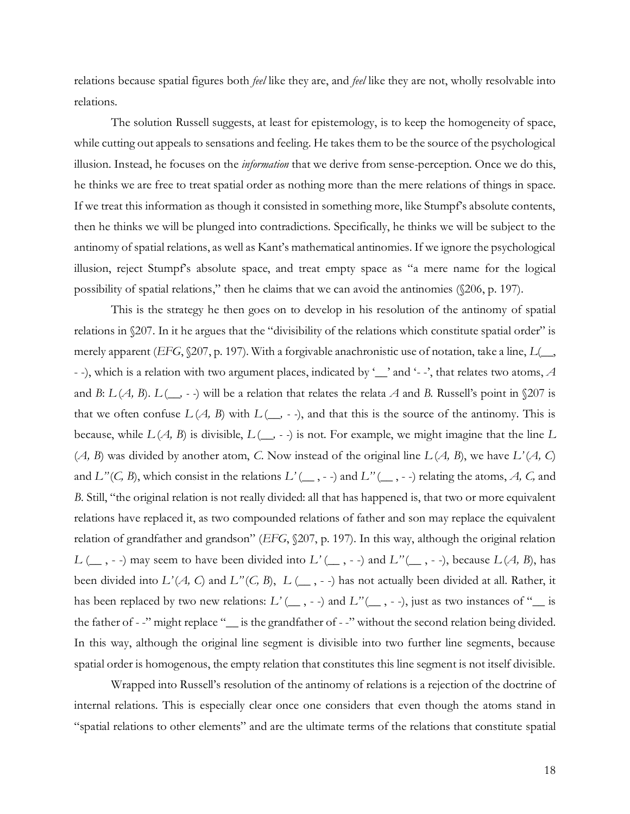relations because spatial figures both *feel* like they are, and *feel* like they are not, wholly resolvable into relations.

The solution Russell suggests, at least for epistemology, is to keep the homogeneity of space, while cutting out appeals to sensations and feeling. He takes them to be the source of the psychological illusion. Instead, he focuses on the *information* that we derive from sense-perception. Once we do this, he thinks we are free to treat spatial order as nothing more than the mere relations of things in space. If we treat this information as though it consisted in something more, like Stumpf's absolute contents, then he thinks we will be plunged into contradictions. Specifically, he thinks we will be subject to the antinomy of spatial relations, as well as Kant's mathematical antinomies. If we ignore the psychological illusion, reject Stumpf's absolute space, and treat empty space as "a mere name for the logical possibility of spatial relations," then he claims that we can avoid the antinomies (§206, p. 197).

This is the strategy he then goes on to develop in his resolution of the antinomy of spatial relations in §207. In it he argues that the "divisibility of the relations which constitute spatial order" is merely apparent (*EFG*, §207, p. 197). With a forgivable anachronistic use of notation, take a line, *L*(\_\_, - -), which is a relation with two argument places, indicated by '\_\_' and '- -', that relates two atoms, *A* and *B*:  $L(A, B)$ .  $L(\underline{\hspace{2cm}}, -)$  will be a relation that relates the relata *A* and *B*. Russell's point in §207 is that we often confuse  $L(A, B)$  with  $L(\underline{\hspace{1cm}}, -\cdot)$ , and that this is the source of the antinomy. This is because, while *L* (*A, B*) is divisible, *L* (*\_\_, - -*) is not. For example, we might imagine that the line *L*  $(A, B)$  was divided by another atom, *C*. Now instead of the original line  $L(A, B)$ , we have  $L'(A, C)$ and  $L''(C, B)$ , which consist in the relations  $L'(\_$ , --) and  $L''(\_$ , --) relating the atoms, *A*, *C*, and *B*. Still, "the original relation is not really divided: all that has happened is, that two or more equivalent relations have replaced it, as two compounded relations of father and son may replace the equivalent relation of grandfather and grandson" (*EFG*, §207, p. 197). In this way, although the original relation *L* (\_\_ , - -) may seem to have been divided into *L'* (\_\_ , - -) and *L''* (\_\_ , - -), because *L* (*A, B*), has been divided into *L'* (*A, C*) and *L''* (*C, B*), *L* (\_\_ , - -) has not actually been divided at all. Rather, it has been replaced by two new relations:  $L'(\_,\_)$  and  $L''(\_,\,-\,)$ , just as two instances of "\_\_ is the father of --" might replace "\_\_ is the grandfather of --" without the second relation being divided. In this way, although the original line segment is divisible into two further line segments, because spatial order is homogenous, the empty relation that constitutes this line segment is not itself divisible.

Wrapped into Russell's resolution of the antinomy of relations is a rejection of the doctrine of internal relations. This is especially clear once one considers that even though the atoms stand in "spatial relations to other elements" and are the ultimate terms of the relations that constitute spatial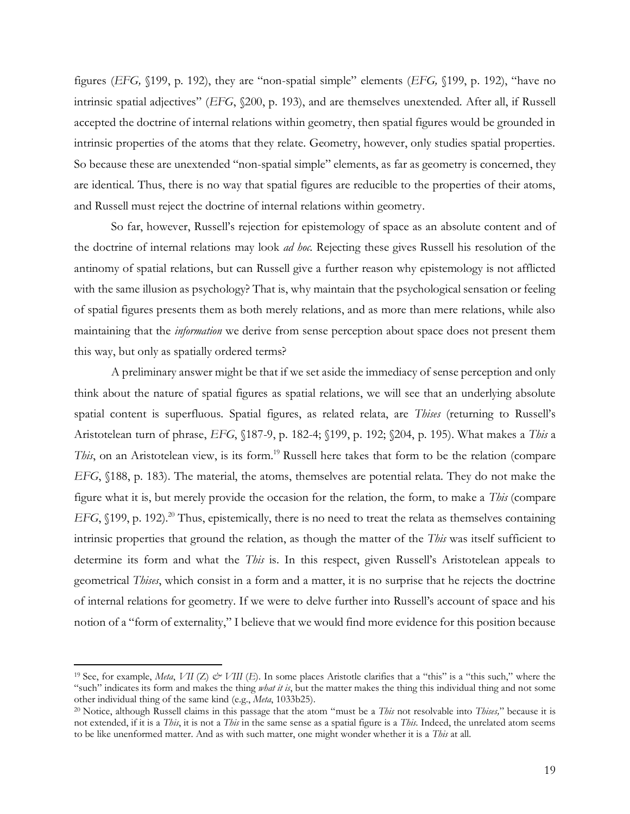figures (*EFG,* §199, p. 192), they are "non-spatial simple" elements (*EFG,* §199, p. 192), "have no intrinsic spatial adjectives" (*EFG*, §200, p. 193), and are themselves unextended. After all, if Russell accepted the doctrine of internal relations within geometry, then spatial figures would be grounded in intrinsic properties of the atoms that they relate. Geometry, however, only studies spatial properties. So because these are unextended "non-spatial simple" elements, as far as geometry is concerned, they are identical. Thus, there is no way that spatial figures are reducible to the properties of their atoms, and Russell must reject the doctrine of internal relations within geometry.

So far, however, Russell's rejection for epistemology of space as an absolute content and of the doctrine of internal relations may look *ad hoc*. Rejecting these gives Russell his resolution of the antinomy of spatial relations, but can Russell give a further reason why epistemology is not afflicted with the same illusion as psychology? That is, why maintain that the psychological sensation or feeling of spatial figures presents them as both merely relations, and as more than mere relations, while also maintaining that the *information* we derive from sense perception about space does not present them this way, but only as spatially ordered terms?

A preliminary answer might be that if we set aside the immediacy of sense perception and only think about the nature of spatial figures as spatial relations, we will see that an underlying absolute spatial content is superfluous. Spatial figures, as related relata, are *Thises* (returning to Russell's Aristotelean turn of phrase, *EFG*, §187-9, p. 182-4; §199, p. 192; §204, p. 195). What makes a *This* a *This*, on an Aristotelean view, is its form. <sup>19</sup> Russell here takes that form to be the relation (compare *EFG*, §188, p. 183). The material, the atoms, themselves are potential relata. They do not make the figure what it is, but merely provide the occasion for the relation, the form, to make a *This* (compare *EFG*, §199, p. 192).<sup>20</sup> Thus, epistemically, there is no need to treat the relata as themselves containing intrinsic properties that ground the relation, as though the matter of the *This* was itself sufficient to determine its form and what the *This* is. In this respect, given Russell's Aristotelean appeals to geometrical *Thises*, which consist in a form and a matter, it is no surprise that he rejects the doctrine of internal relations for geometry. If we were to delve further into Russell's account of space and his notion of a "form of externality," I believe that we would find more evidence for this position because

<sup>&</sup>lt;sup>19</sup> See, for example, *Meta*, *VII* (*Z*)  $\dot{\mathcal{O}}$  *VIII* (*E*). In some places Aristotle clarifies that a "this" is a "this such," where the "such" indicates its form and makes the thing *what it is*, but the matter makes the thing this individual thing and not some other individual thing of the same kind (e.g., *Meta*, 1033b25).

<sup>20</sup> Notice, although Russell claims in this passage that the atom "must be a *This* not resolvable into *Thises,*" because it is not extended, if it is a *This*, it is not a *This* in the same sense as a spatial figure is a *This.* Indeed, the unrelated atom seems to be like unenformed matter. And as with such matter, one might wonder whether it is a *This* at all.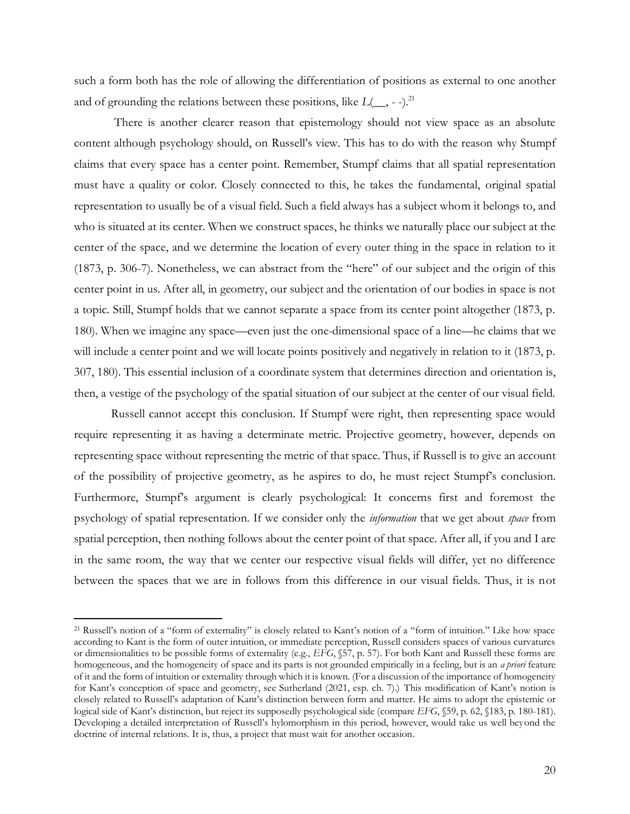such a form both has the role of allowing the differentiation of positions as external to one another and of grounding the relations between these positions, like  $L(\_\_\_$  --).<sup>21</sup>

There is another clearer reason that epistemology should not view space as an absolute content although psychology should, on Russell's view. This has to do with the reason why Stumpf claims that every space has a center point. Remember, Stumpf claims that all spatial representation must have a quality or color. Closely connected to this, he takes the fundamental, original spatial representation to usually be of a visual field. Such a field always has a subject whom it belongs to, and who is situated at its center. When we construct spaces, he thinks we naturally place our subject at the center of the space, and we determine the location of every outer thing in the space in relation to it (1873, p. 306-7). Nonetheless, we can abstract from the "here" of our subject and the origin of this center point in us. After all, in geometry, our subject and the orientation of our bodies in space is not a topic. Still, Stumpf holds that we cannot separate a space from its center point altogether (1873, p. 180). When we imagine any space—even just the one-dimensional space of a line—he claims that we will include a center point and we will locate points positively and negatively in relation to it (1873, p. 307, 180). This essential inclusion of a coordinate system that determines direction and orientation is, then, a vestige of the psychology of the spatial situation of our subject at the center of our visual field.

Russell cannot accept this conclusion. If Stumpf were right, then representing space would require representing it as having a determinate metric. Projective geometry, however, depends on representing space without representing the metric of that space. Thus, if Russell is to give an account of the possibility of projective geometry, as he aspires to do, he must reject Stumpf's conclusion. Furthermore, Stumpf's argument is clearly psychological: It concerns first and foremost the psychology of spatial representation. If we consider only the *information* that we get about *space* from spatial perception, then nothing follows about the center point of that space. After all, if you and I are in the same room, the way that we center our respective visual fields will differ, yet no difference between the spaces that we are in follows from this difference in our visual fields. Thus, it is not

<sup>21</sup> Russell's notion of a "form of externality" is closely related to Kant's notion of a "form of intuition." Like how space according to Kant is the form of outer intuition, or immediate perception, Russell considers spaces of various curvatures or dimensionalities to be possible forms of externality (e.g., *EFG*, §57, p. 57). For both Kant and Russell these forms are homogeneous, and the homogeneity of space and its parts is not grounded empirically in a feeling, but is an *a priori* feature of it and the form of intuition or externality through which it is known. (For a discussion of the importance of homogeneity for Kant's conception of space and geometry, see Sutherland (2021, esp. ch. 7).) This modification of Kant's notion is closely related to Russell's adaptation of Kant's distinction between form and matter. He aims to adopt the epistemic or logical side of Kant's distinction, but reject its supposedly psychological side (compare *EFG*, §59, p. 62, §183, p. 180-181). Developing a detailed interpretation of Russell's hylomorphism in this period, however, would take us well beyond the doctrine of internal relations. It is, thus, a project that must wait for another occasion.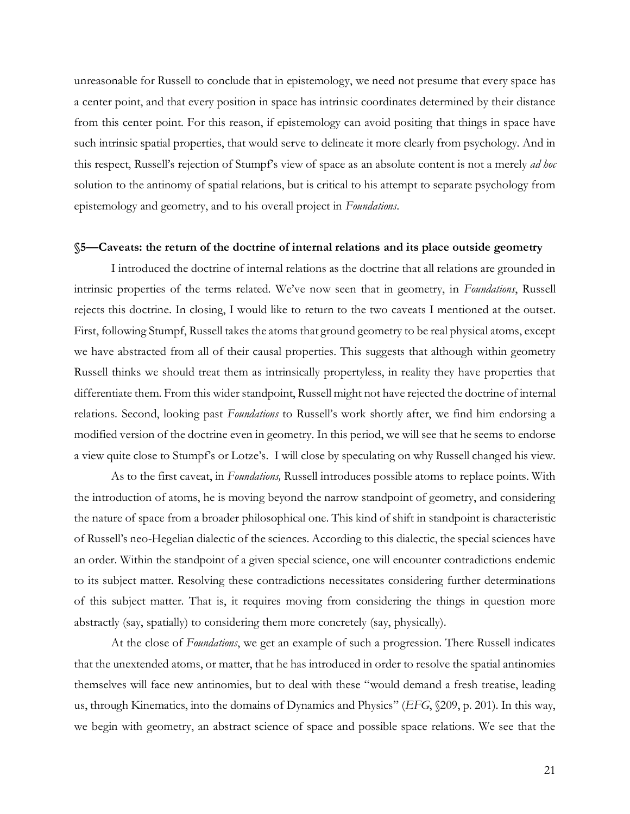unreasonable for Russell to conclude that in epistemology, we need not presume that every space has a center point, and that every position in space has intrinsic coordinates determined by their distance from this center point. For this reason, if epistemology can avoid positing that things in space have such intrinsic spatial properties, that would serve to delineate it more clearly from psychology. And in this respect, Russell's rejection of Stumpf's view of space as an absolute content is not a merely *ad hoc* solution to the antinomy of spatial relations, but is critical to his attempt to separate psychology from epistemology and geometry, and to his overall project in *Foundations*.

#### **§5—Caveats: the return of the doctrine of internal relations and its place outside geometry**

I introduced the doctrine of internal relations as the doctrine that all relations are grounded in intrinsic properties of the terms related. We've now seen that in geometry, in *Foundations*, Russell rejects this doctrine. In closing, I would like to return to the two caveats I mentioned at the outset. First, following Stumpf, Russell takes the atoms that ground geometry to be real physical atoms, except we have abstracted from all of their causal properties. This suggests that although within geometry Russell thinks we should treat them as intrinsically propertyless, in reality they have properties that differentiate them. From this wider standpoint, Russell might not have rejected the doctrine of internal relations. Second, looking past *Foundations* to Russell's work shortly after, we find him endorsing a modified version of the doctrine even in geometry. In this period, we will see that he seems to endorse a view quite close to Stumpf's or Lotze's. I will close by speculating on why Russell changed his view.

As to the first caveat, in *Foundations,* Russell introduces possible atoms to replace points. With the introduction of atoms, he is moving beyond the narrow standpoint of geometry, and considering the nature of space from a broader philosophical one. This kind of shift in standpoint is characteristic of Russell's neo-Hegelian dialectic of the sciences. According to this dialectic, the special sciences have an order. Within the standpoint of a given special science, one will encounter contradictions endemic to its subject matter. Resolving these contradictions necessitates considering further determinations of this subject matter. That is, it requires moving from considering the things in question more abstractly (say, spatially) to considering them more concretely (say, physically).

At the close of *Foundations*, we get an example of such a progression. There Russell indicates that the unextended atoms, or matter, that he has introduced in order to resolve the spatial antinomies themselves will face new antinomies, but to deal with these "would demand a fresh treatise, leading us, through Kinematics, into the domains of Dynamics and Physics" (*EFG*, §209, p. 201). In this way, we begin with geometry, an abstract science of space and possible space relations. We see that the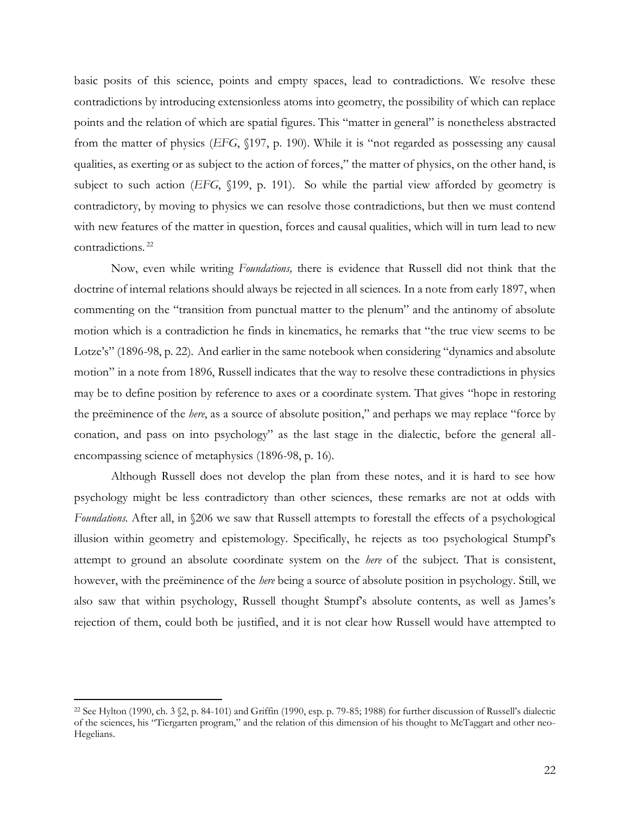basic posits of this science, points and empty spaces, lead to contradictions. We resolve these contradictions by introducing extensionless atoms into geometry, the possibility of which can replace points and the relation of which are spatial figures. This "matter in general" is nonetheless abstracted from the matter of physics (*EFG*, §197, p. 190). While it is "not regarded as possessing any causal qualities, as exerting or as subject to the action of forces," the matter of physics, on the other hand, is subject to such action (*EFG*, §199, p. 191). So while the partial view afforded by geometry is contradictory, by moving to physics we can resolve those contradictions, but then we must contend with new features of the matter in question, forces and causal qualities, which will in turn lead to new contradictions. <sup>22</sup>

Now, even while writing *Foundations,* there is evidence that Russell did not think that the doctrine of internal relations should always be rejected in all sciences*.* In a note from early 1897, when commenting on the "transition from punctual matter to the plenum" and the antinomy of absolute motion which is a contradiction he finds in kinematics, he remarks that "the true view seems to be Lotze's" (1896-98, p. 22). And earlier in the same notebook when considering "dynamics and absolute motion" in a note from 1896, Russell indicates that the way to resolve these contradictions in physics may be to define position by reference to axes or a coordinate system. That gives "hope in restoring the preëminence of the *here*, as a source of absolute position," and perhaps we may replace "force by conation, and pass on into psychology" as the last stage in the dialectic, before the general allencompassing science of metaphysics (1896-98, p. 16).

Although Russell does not develop the plan from these notes, and it is hard to see how psychology might be less contradictory than other sciences, these remarks are not at odds with *Foundations*. After all, in  $\&$  206 we saw that Russell attempts to forestall the effects of a psychological illusion within geometry and epistemology. Specifically, he rejects as too psychological Stumpf's attempt to ground an absolute coordinate system on the *here* of the subject. That is consistent, however, with the preëminence of the *here* being a source of absolute position in psychology. Still, we also saw that within psychology, Russell thought Stumpf's absolute contents, as well as James's rejection of them, could both be justified, and it is not clear how Russell would have attempted to

<sup>22</sup> See Hylton (1990, ch. 3 §2, p. 84-101) and Griffin (1990, esp. p. 79-85; 1988) for further discussion of Russell's dialectic of the sciences, his "Tiergarten program," and the relation of this dimension of his thought to McTaggart and other neo-Hegelians.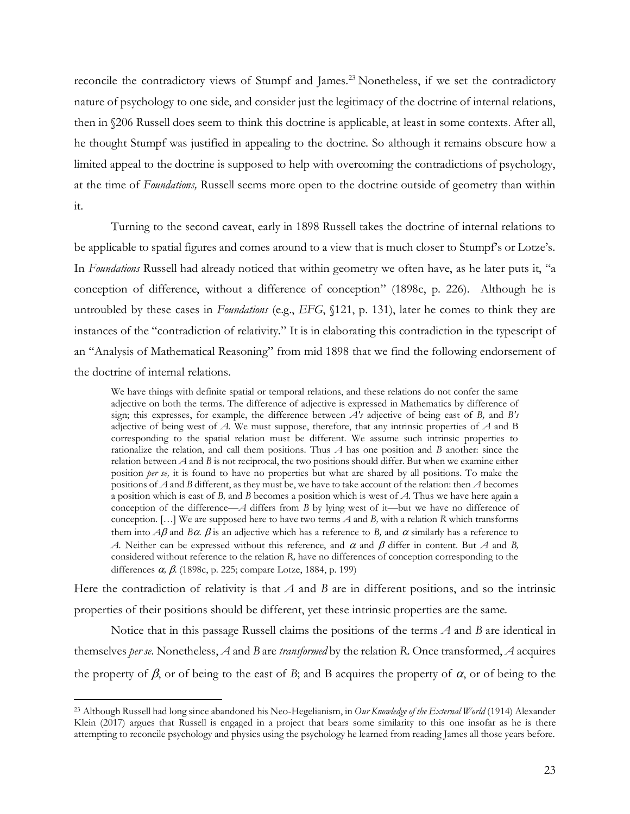reconcile the contradictory views of Stumpf and James.<sup>23</sup> Nonetheless, if we set the contradictory nature of psychology to one side, and consider just the legitimacy of the doctrine of internal relations, then in §206 Russell does seem to think this doctrine is applicable, at least in some contexts. After all, he thought Stumpf was justified in appealing to the doctrine. So although it remains obscure how a limited appeal to the doctrine is supposed to help with overcoming the contradictions of psychology, at the time of *Foundations,* Russell seems more open to the doctrine outside of geometry than within it.

Turning to the second caveat, early in 1898 Russell takes the doctrine of internal relations to be applicable to spatial figures and comes around to a view that is much closer to Stumpf's or Lotze's. In *Foundations* Russell had already noticed that within geometry we often have, as he later puts it, "a conception of difference, without a difference of conception" (1898c, p. 226). Although he is untroubled by these cases in *Foundations* (e.g., *EFG*, §121, p. 131), later he comes to think they are instances of the "contradiction of relativity." It is in elaborating this contradiction in the typescript of an "Analysis of Mathematical Reasoning" from mid 1898 that we find the following endorsement of the doctrine of internal relations.

We have things with definite spatial or temporal relations, and these relations do not confer the same adjective on both the terms. The difference of adjective is expressed in Mathematics by difference of sign; this expresses, for example, the difference between *A's* adjective of being east of *B,* and *B's*  adjective of being west of *A.* We must suppose, therefore, that any intrinsic properties of *A* and B corresponding to the spatial relation must be different. We assume such intrinsic properties to rationalize the relation, and call them positions. Thus *A* has one position and *B* another: since the relation between *A* and *B* is not reciprocal, the two positions should differ. But when we examine either position *per se,* it is found to have no properties but what are shared by all positions. To make the positions of *A* and *B* different, as they must be, we have to take account of the relation: then *A* becomes a position which is east of *B,* and *B* becomes a position which is west of *A*. Thus we have here again a conception of the difference—*A* differs from *B* by lying west of it—but we have no difference of conception. […] We are supposed here to have two terms *A* and *B,* with a relation *R* which transforms them into  $A\beta$  and *Ba*.  $\beta$  is an adjective which has a reference to *B*, and  $\alpha$  similarly has a reference to *A.* Neither can be expressed without this reference, and  $\alpha$  and  $\beta$  differ in content. But *A* and *B*, considered without reference to the relation *R,* have no differences of conception corresponding to the differences  $\alpha$ ,  $\beta$ . (1898c, p. 225; compare Lotze, 1884, p. 199)

Here the contradiction of relativity is that *A* and *B* are in different positions, and so the intrinsic properties of their positions should be different, yet these intrinsic properties are the same.

Notice that in this passage Russell claims the positions of the terms *A* and *B* are identical in themselves *per se*. Nonetheless, *A* and *B* are *transformed* by the relation *R*. Once transformed, *A* acquires the property of  $\beta$ , or of being to the east of *B*; and *B* acquires the property of  $\alpha$ , or of being to the

<sup>23</sup> Although Russell had long since abandoned his Neo-Hegelianism, in *Our Knowledge of the External World* (1914) Alexander Klein (2017) argues that Russell is engaged in a project that bears some similarity to this one insofar as he is there attempting to reconcile psychology and physics using the psychology he learned from reading James all those years before.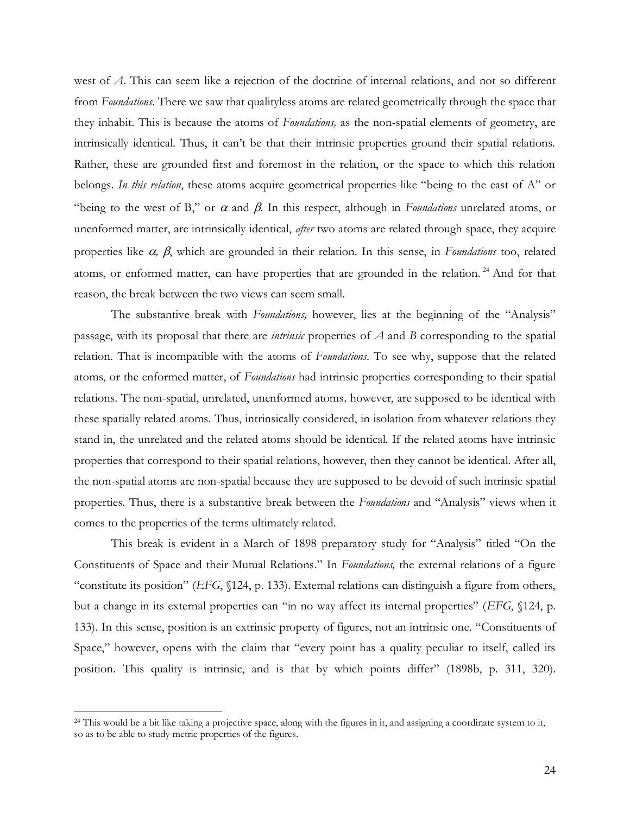west of *A*. This can seem like a rejection of the doctrine of internal relations, and not so different from *Foundations*. There we saw that qualityless atoms are related geometrically through the space that they inhabit. This is because the atoms of *Foundations,* as the non-spatial elements of geometry, are intrinsically identical. Thus, it can't be that their intrinsic properties ground their spatial relations. Rather, these are grounded first and foremost in the relation, or the space to which this relation belongs. *In this relation*, these atoms acquire geometrical properties like "being to the east of A" or "being to the west of B," or  $\alpha$  and  $\beta$ . In this respect, although in *Foundations* unrelated atoms, or unenformed matter, are intrinsically identical, *after* two atoms are related through space, they acquire properties like  $\alpha$ ,  $\beta$ , which are grounded in their relation. In this sense, in *Foundations* too, related atoms, or enformed matter, can have properties that are grounded in the relation.<sup>24</sup> And for that reason, the break between the two views can seem small.

The substantive break with *Foundations,* however, lies at the beginning of the "Analysis" passage, with its proposal that there are *intrinsic* properties of *A* and *B* corresponding to the spatial relation. That is incompatible with the atoms of *Foundations*. To see why, suppose that the related atoms, or the enformed matter, of *Foundations* had intrinsic properties corresponding to their spatial relations. The non-spatial, unrelated, unenformed atoms*,* however, are supposed to be identical with these spatially related atoms. Thus, intrinsically considered, in isolation from whatever relations they stand in, the unrelated and the related atoms should be identical. If the related atoms have intrinsic properties that correspond to their spatial relations, however, then they cannot be identical. After all, the non-spatial atoms are non-spatial because they are supposed to be devoid of such intrinsic spatial properties. Thus, there is a substantive break between the *Foundations* and "Analysis" views when it comes to the properties of the terms ultimately related.

This break is evident in a March of 1898 preparatory study for "Analysis" titled "On the Constituents of Space and their Mutual Relations." In *Foundations,* the external relations of a figure "constitute its position" (*EFG*, §124, p. 133). External relations can distinguish a figure from others, but a change in its external properties can "in no way affect its internal properties" (*EFG*, §124, p. 133). In this sense, position is an extrinsic property of figures, not an intrinsic one. "Constituents of Space," however, opens with the claim that "every point has a quality peculiar to itself, called its position. This quality is intrinsic, and is that by which points differ" (1898b, p. 311, 320).

<sup>24</sup> This would be a bit like taking a projective space, along with the figures in it, and assigning a coordinate system to it, so as to be able to study metric properties of the figures.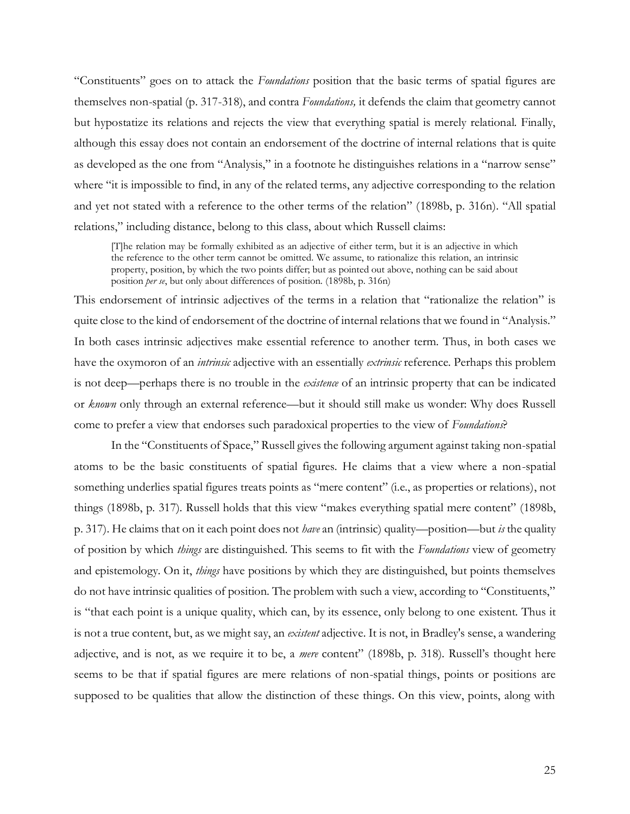"Constituents" goes on to attack the *Foundations* position that the basic terms of spatial figures are themselves non-spatial (p. 317-318), and contra *Foundations,* it defends the claim that geometry cannot but hypostatize its relations and rejects the view that everything spatial is merely relational. Finally, although this essay does not contain an endorsement of the doctrine of internal relations that is quite as developed as the one from "Analysis," in a footnote he distinguishes relations in a "narrow sense" where "it is impossible to find, in any of the related terms, any adjective corresponding to the relation and yet not stated with a reference to the other terms of the relation" (1898b, p. 316n). "All spatial relations," including distance, belong to this class, about which Russell claims:

[T]he relation may be formally exhibited as an adjective of either term, but it is an adjective in which the reference to the other term cannot be omitted. We assume, to rationalize this relation, an intrinsic property, position, by which the two points differ; but as pointed out above, nothing can be said about position *per se*, but only about differences of position. (1898b, p. 316n)

This endorsement of intrinsic adjectives of the terms in a relation that "rationalize the relation" is quite close to the kind of endorsement of the doctrine of internal relations that we found in "Analysis." In both cases intrinsic adjectives make essential reference to another term. Thus, in both cases we have the oxymoron of an *intrinsic* adjective with an essentially *extrinsic* reference. Perhaps this problem is not deep—perhaps there is no trouble in the *existence* of an intrinsic property that can be indicated or *known* only through an external reference—but it should still make us wonder: Why does Russell come to prefer a view that endorses such paradoxical properties to the view of *Foundations*?

In the "Constituents of Space," Russell gives the following argument against taking non-spatial atoms to be the basic constituents of spatial figures. He claims that a view where a non-spatial something underlies spatial figures treats points as "mere content" (i.e., as properties or relations), not things (1898b, p. 317). Russell holds that this view "makes everything spatial mere content" (1898b, p. 317). He claims that on it each point does not *have* an (intrinsic) quality—position—but *is* the quality of position by which *things* are distinguished. This seems to fit with the *Foundations* view of geometry and epistemology. On it, *things* have positions by which they are distinguished, but points themselves do not have intrinsic qualities of position. The problem with such a view, according to "Constituents," is "that each point is a unique quality, which can, by its essence, only belong to one existent. Thus it is not a true content, but, as we might say, an *existent* adjective. It is not, in Bradley's sense, a wandering adjective, and is not, as we require it to be, a *mere* content" (1898b, p. 318). Russell's thought here seems to be that if spatial figures are mere relations of non-spatial things, points or positions are supposed to be qualities that allow the distinction of these things. On this view, points, along with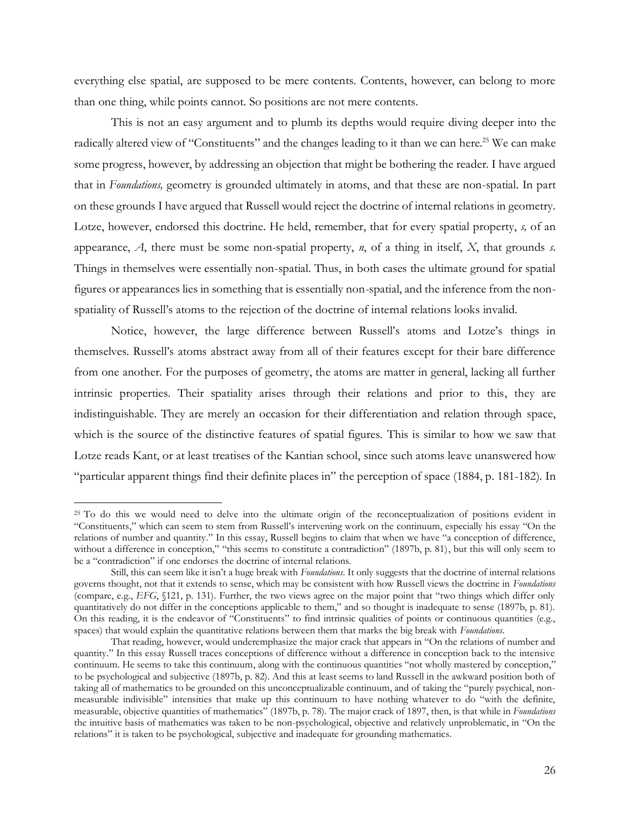everything else spatial, are supposed to be mere contents. Contents, however, can belong to more than one thing, while points cannot. So positions are not mere contents.

This is not an easy argument and to plumb its depths would require diving deeper into the radically altered view of "Constituents" and the changes leading to it than we can here.<sup>25</sup> We can make some progress, however, by addressing an objection that might be bothering the reader. I have argued that in *Foundations,* geometry is grounded ultimately in atoms, and that these are non-spatial. In part on these grounds I have argued that Russell would reject the doctrine of internal relations in geometry. Lotze, however, endorsed this doctrine. He held, remember, that for every spatial property, *s,* of an appearance, *A*, there must be some non-spatial property, *n*, of a thing in itself, *X*, that grounds *s*. Things in themselves were essentially non-spatial. Thus, in both cases the ultimate ground for spatial figures or appearances lies in something that is essentially non-spatial, and the inference from the nonspatiality of Russell's atoms to the rejection of the doctrine of internal relations looks invalid.

Notice, however, the large difference between Russell's atoms and Lotze's things in themselves. Russell's atoms abstract away from all of their features except for their bare difference from one another. For the purposes of geometry, the atoms are matter in general, lacking all further intrinsic properties. Their spatiality arises through their relations and prior to this, they are indistinguishable. They are merely an occasion for their differentiation and relation through space, which is the source of the distinctive features of spatial figures. This is similar to how we saw that Lotze reads Kant, or at least treatises of the Kantian school, since such atoms leave unanswered how "particular apparent things find their definite places in" the perception of space (1884, p. 181-182). In

<sup>&</sup>lt;sup>25</sup> To do this we would need to delve into the ultimate origin of the reconceptualization of positions evident in "Constituents," which can seem to stem from Russell's intervening work on the continuum, especially his essay "On the relations of number and quantity." In this essay, Russell begins to claim that when we have "a conception of difference, without a difference in conception," "this seems to constitute a contradiction" (1897b, p. 81), but this will only seem to be a "contradiction" if one endorses the doctrine of internal relations.

Still, this can seem like it isn't a huge break with *Foundations*. It only suggests that the doctrine of internal relations governs thought, not that it extends to sense, which may be consistent with how Russell views the doctrine in *Foundations* (compare, e.g., *EFG*, §121, p. 131). Further, the two views agree on the major point that "two things which differ only quantitatively do not differ in the conceptions applicable to them," and so thought is inadequate to sense (1897b, p. 81). On this reading, it is the endeavor of "Constituents" to find intrinsic qualities of points or continuous quantities (e.g., spaces) that would explain the quantitative relations between them that marks the big break with *Foundations*.

That reading, however, would underemphasize the major crack that appears in "On the relations of number and quantity." In this essay Russell traces conceptions of difference without a difference in conception back to the intensive continuum. He seems to take this continuum, along with the continuous quantities "not wholly mastered by conception," to be psychological and subjective (1897b, p. 82). And this at least seems to land Russell in the awkward position both of taking all of mathematics to be grounded on this unconceptualizable continuum, and of taking the "purely psychical, nonmeasurable indivisible" intensities that make up this continuum to have nothing whatever to do "with the definite, measurable, objective quantities of mathematics" (1897b, p. 78). The major crack of 1897, then, is that while in *Foundations* the intuitive basis of mathematics was taken to be non-psychological, objective and relatively unproblematic, in "On the relations" it is taken to be psychological, subjective and inadequate for grounding mathematics.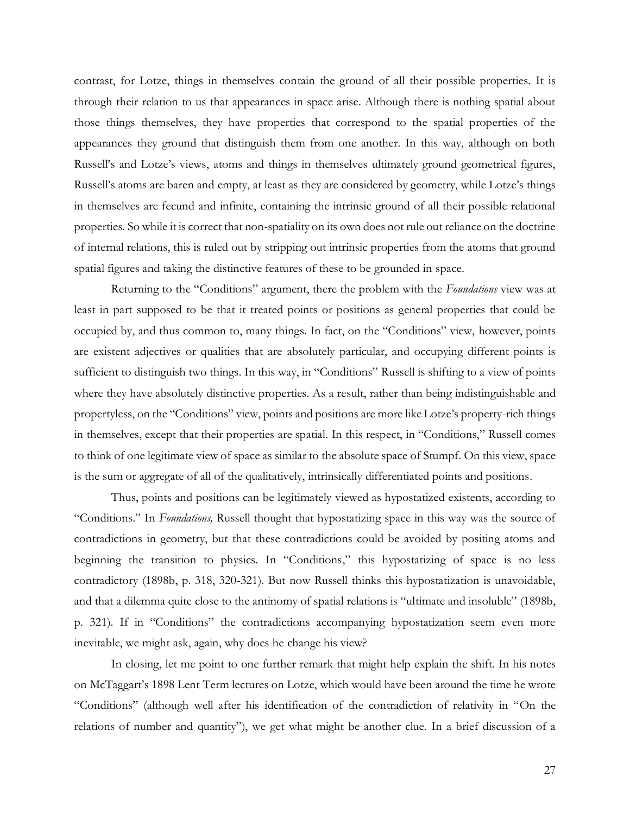contrast, for Lotze, things in themselves contain the ground of all their possible properties. It is through their relation to us that appearances in space arise. Although there is nothing spatial about those things themselves, they have properties that correspond to the spatial properties of the appearances they ground that distinguish them from one another. In this way, although on both Russell's and Lotze's views, atoms and things in themselves ultimately ground geometrical figures, Russell's atoms are baren and empty, at least as they are considered by geometry, while Lotze's things in themselves are fecund and infinite, containing the intrinsic ground of all their possible relational properties. So while it is correct that non-spatiality on its own does not rule out reliance on the doctrine of internal relations, this is ruled out by stripping out intrinsic properties from the atoms that ground spatial figures and taking the distinctive features of these to be grounded in space.

Returning to the "Conditions" argument, there the problem with the *Foundations* view was at least in part supposed to be that it treated points or positions as general properties that could be occupied by, and thus common to, many things. In fact, on the "Conditions" view, however, points are existent adjectives or qualities that are absolutely particular, and occupying different points is sufficient to distinguish two things. In this way, in "Conditions" Russell is shifting to a view of points where they have absolutely distinctive properties. As a result, rather than being indistinguishable and propertyless, on the "Conditions" view, points and positions are more like Lotze's property-rich things in themselves, except that their properties are spatial. In this respect, in "Conditions," Russell comes to think of one legitimate view of space as similar to the absolute space of Stumpf. On this view, space is the sum or aggregate of all of the qualitatively, intrinsically differentiated points and positions.

Thus, points and positions can be legitimately viewed as hypostatized existents, according to "Conditions." In *Foundations,* Russell thought that hypostatizing space in this way was the source of contradictions in geometry, but that these contradictions could be avoided by positing atoms and beginning the transition to physics. In "Conditions," this hypostatizing of space is no less contradictory (1898b, p. 318, 320-321). But now Russell thinks this hypostatization is unavoidable, and that a dilemma quite close to the antinomy of spatial relations is "ultimate and insoluble" (1898b, p. 321). If in "Conditions" the contradictions accompanying hypostatization seem even more inevitable, we might ask, again, why does he change his view?

In closing, let me point to one further remark that might help explain the shift. In his notes on McTaggart's 1898 Lent Term lectures on Lotze, which would have been around the time he wrote "Conditions" (although well after his identification of the contradiction of relativity in "On the relations of number and quantity"), we get what might be another clue. In a brief discussion of a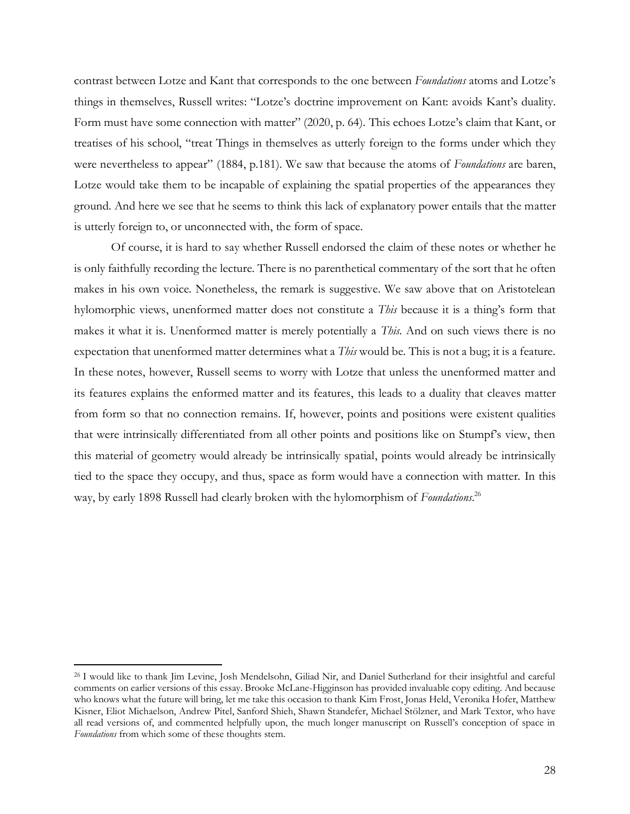contrast between Lotze and Kant that corresponds to the one between *Foundations* atoms and Lotze's things in themselves, Russell writes: "Lotze's doctrine improvement on Kant: avoids Kant's duality. Form must have some connection with matter" (2020, p. 64). This echoes Lotze's claim that Kant, or treatises of his school, "treat Things in themselves as utterly foreign to the forms under which they were nevertheless to appear" (1884, p.181). We saw that because the atoms of *Foundations* are baren, Lotze would take them to be incapable of explaining the spatial properties of the appearances they ground. And here we see that he seems to think this lack of explanatory power entails that the matter is utterly foreign to, or unconnected with, the form of space.

Of course, it is hard to say whether Russell endorsed the claim of these notes or whether he is only faithfully recording the lecture. There is no parenthetical commentary of the sort that he often makes in his own voice. Nonetheless, the remark is suggestive. We saw above that on Aristotelean hylomorphic views, unenformed matter does not constitute a *This* because it is a thing's form that makes it what it is. Unenformed matter is merely potentially a *This.* And on such views there is no expectation that unenformed matter determines what a *This* would be. This is not a bug; it is a feature. In these notes, however, Russell seems to worry with Lotze that unless the unenformed matter and its features explains the enformed matter and its features, this leads to a duality that cleaves matter from form so that no connection remains. If, however, points and positions were existent qualities that were intrinsically differentiated from all other points and positions like on Stumpf's view, then this material of geometry would already be intrinsically spatial, points would already be intrinsically tied to the space they occupy, and thus, space as form would have a connection with matter. In this way, by early 1898 Russell had clearly broken with the hylomorphism of *Foundations*. 26

<sup>26</sup> I would like to thank Jim Levine, Josh Mendelsohn, Giliad Nir, and Daniel Sutherland for their insightful and careful comments on earlier versions of this essay. Brooke McLane-Higginson has provided invaluable copy editing. And because who knows what the future will bring, let me take this occasion to thank Kim Frost, Jonas Held, Veronika Hofer, Matthew Kisner, Eliot Michaelson, Andrew Pitel, Sanford Shieh, Shawn Standefer, Michael Stölzner, and Mark Textor, who have all read versions of, and commented helpfully upon, the much longer manuscript on Russell's conception of space in *Foundations* from which some of these thoughts stem.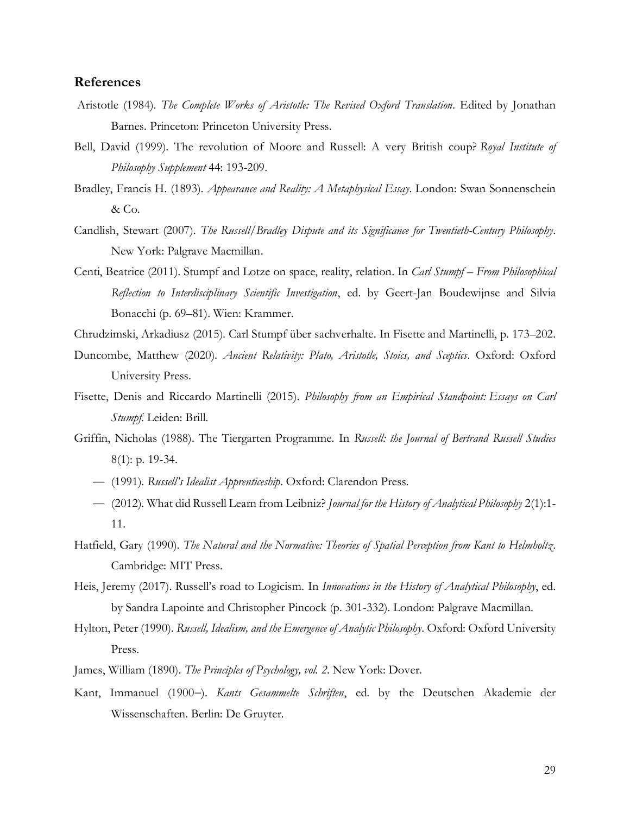## **References**

- Aristotle (1984). *The Complete Works of Aristotle: The Revised Oxford Translation*. Edited by Jonathan Barnes. Princeton: Princeton University Press.
- Bell, David (1999). The revolution of Moore and Russell: A very British coup? *Royal Institute of Philosophy Supplement* 44: 193-209.
- Bradley, Francis H. (1893). *Appearance and Reality: A Metaphysical Essay*. London: Swan Sonnenschein & Co.
- Candlish, Stewart (2007). *The Russell/Bradley Dispute and its Significance for Twentieth-Century Philosophy*. New York: Palgrave Macmillan.
- Centi, Beatrice (2011). Stumpf and Lotze on space, reality, relation. In *Carl Stumpf From Philosophical Reflection to Interdisciplinary Scientific Investigation*, ed. by Geert-Jan Boudewijnse and Silvia Bonacchi (p. 69–81). Wien: Krammer.
- Chrudzimski, Arkadiusz (2015). Carl Stumpf über sachverhalte. In Fisette and Martinelli, p. 173–202.
- Duncombe, Matthew (2020). *Ancient Relativity: Plato, Aristotle, Stoics, and Sceptics*. Oxford: Oxford University Press.
- Fisette, Denis and Riccardo Martinelli (2015). *Philosophy from an Empirical Standpoint: Essays on Carl Stumpf*. Leiden: Brill.
- Griffin, Nicholas (1988). The Tiergarten Programme. In *Russell: the Journal of Bertrand Russell Studies* 8(1): p. 19-34.
	- (1991). *Russell's Idealist Apprenticeship*. Oxford: Clarendon Press.
	- (2012). What did Russell Learn from Leibniz? *Journal for the History of Analytical Philosophy* 2(1):1- 11.
- Hatfield, Gary (1990). *The Natural and the Normative: Theories of Spatial Perception from Kant to Helmholtz*. Cambridge: MIT Press.
- Heis, Jeremy (2017). Russell's road to Logicism. In *Innovations in the History of Analytical Philosophy*, ed. by Sandra Lapointe and Christopher Pincock (p. 301-332). London: Palgrave Macmillan.
- Hylton, Peter (1990). *Russell, Idealism, and the Emergence of Analytic Philosophy*. Oxford: Oxford University Press.
- James, William (1890). *The Principles of Psychology, vol. 2*. New York: Dover.
- Kant, Immanuel (1900−). *Kants Gesammelte Schriften*, ed. by the Deutschen Akademie der Wissenschaften. Berlin: De Gruyter.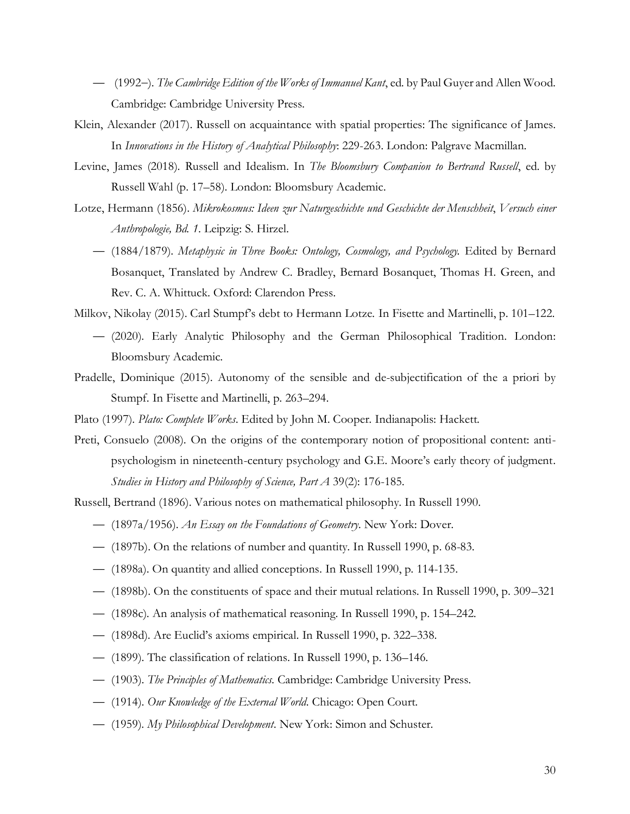- (1992−). *The Cambridge Edition of the Works of Immanuel Kant*, ed. by Paul Guyer and Allen Wood. Cambridge: Cambridge University Press.
- Klein, Alexander (2017). Russell on acquaintance with spatial properties: The significance of James. In *Innovations in the History of Analytical Philosophy*: 229-263. London: Palgrave Macmillan.
- Levine, James (2018). Russell and Idealism. In *The Bloomsbury Companion to Bertrand Russell*, ed. by Russell Wahl (p. 17–58). London: Bloomsbury Academic.
- Lotze, Hermann (1856). *Mikrokosmus: Ideen zur Naturgeschichte und Geschichte der Menschheit*, *Versuch einer Anthropologie, Bd. 1*. Leipzig: S. Hirzel.
	- (1884/1879). *Metaphysic in Three Books: Ontology, Cosmology, and Psychology.* Edited by Bernard Bosanquet, Translated by Andrew C. Bradley, Bernard Bosanquet, Thomas H. Green, and Rev. C. A. Whittuck. Oxford: Clarendon Press.
- Milkov, Nikolay (2015). Carl Stumpf's debt to Hermann Lotze. In Fisette and Martinelli, p. 101–122.
	- (2020). Early Analytic Philosophy and the German Philosophical Tradition. London: Bloomsbury Academic.
- Pradelle, Dominique (2015). Autonomy of the sensible and de-subjectification of the a priori by Stumpf. In Fisette and Martinelli, p. 263–294.
- Plato (1997). *Plato: Complete Works*. Edited by John M. Cooper. Indianapolis: Hackett.
- Preti, Consuelo (2008). On the origins of the contemporary notion of propositional content: antipsychologism in nineteenth-century psychology and G.E. Moore's early theory of judgment. *Studies in History and Philosophy of Science, Part A* 39(2): 176-185.
- Russell, Bertrand (1896). Various notes on mathematical philosophy. In Russell 1990.
	- (1897a/1956). *An Essay on the Foundations of Geometry*. New York: Dover.
	- (1897b). On the relations of number and quantity. In Russell 1990, p. 68-83.
	- (1898a). On quantity and allied conceptions. In Russell 1990, p. 114-135.
	- (1898b). On the constituents of space and their mutual relations. In Russell 1990, p. 309–321
	- (1898c). An analysis of mathematical reasoning. In Russell 1990, p. 154–242.
	- (1898d). Are Euclid's axioms empirical. In Russell 1990, p. 322–338.
	- (1899). The classification of relations. In Russell 1990, p. 136–146.
	- (1903). *The Principles of Mathematics*. Cambridge: Cambridge University Press.
	- (1914). *Our Knowledge of the External World.* Chicago: Open Court.
	- (1959). *My Philosophical Development*. New York: Simon and Schuster.